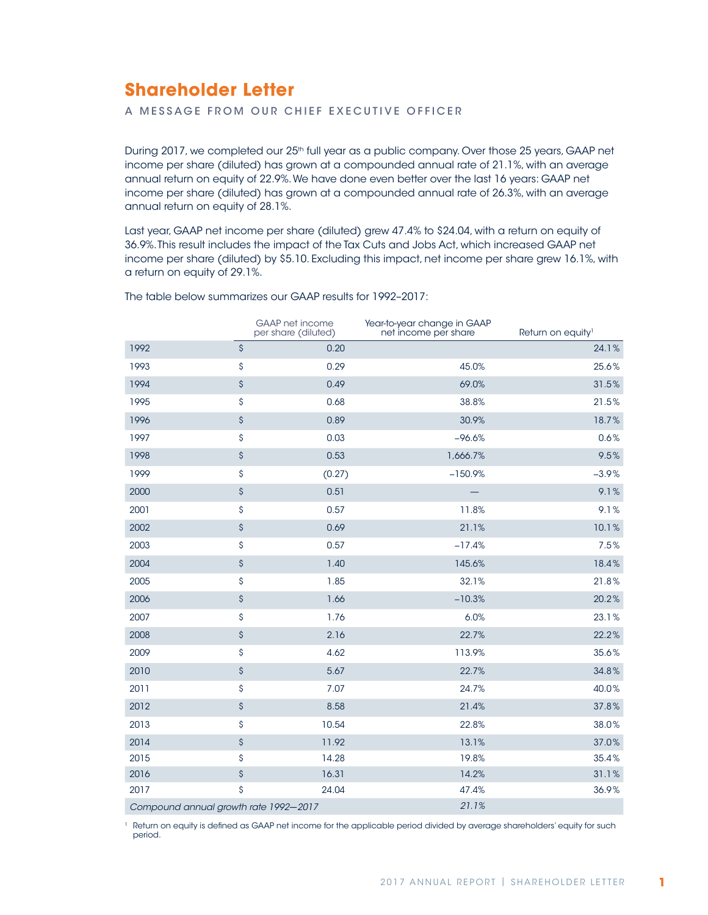# **Shareholder Letter**

A MESSAGE FROM OUR CHIEF EXECUTIVE OFFICER

During 2017, we completed our 25<sup>th</sup> full year as a public company. Over those 25 years, GAAP net income per share (diluted) has grown at a compounded annual rate of 21.1%, with an average annual return on equity of 22.9%. We have done even better over the last 16 years: GAAP net income per share (diluted) has grown at a compounded annual rate of 26.3%, with an average annual return on equity of 28.1%.

Last year, GAAP net income per share (diluted) grew 47.4% to \$24.04, with a return on equity of 36.9%. This result includes the impact of the Tax Cuts and Jobs Act, which increased GAAP net income per share (diluted) by \$5.10. Excluding this impact, net income per share grew 16.1%, with a return on equity of 29.1%.

|                                       | <b>GAAP</b> net income<br>per share (diluted) | Year-to-year change in GAAP<br>net income per share | Return on equity <sup>1</sup> |
|---------------------------------------|-----------------------------------------------|-----------------------------------------------------|-------------------------------|
| 1992                                  | \$<br>0.20                                    |                                                     | 24.1%                         |
| 1993                                  | \$<br>0.29                                    | 45.0%                                               | 25.6%                         |
| 1994                                  | \$<br>0.49                                    | 69.0%                                               | 31.5%                         |
| 1995                                  | \$<br>0.68                                    | 38.8%                                               | 21.5%                         |
| 1996                                  | \$<br>0.89                                    | 30.9%                                               | 18.7%                         |
| 1997                                  | \$<br>0.03                                    | $-96.6%$                                            | 0.6%                          |
| 1998                                  | \$<br>0.53                                    | 1,666.7%                                            | 9.5%                          |
| 1999                                  | \$<br>(0.27)                                  | $-150.9%$                                           | $-3.9%$                       |
| 2000                                  | \$<br>0.51                                    |                                                     | 9.1%                          |
| 2001                                  | \$<br>0.57                                    | 11.8%                                               | 9.1%                          |
| 2002                                  | \$<br>0.69                                    | 21.1%                                               | 10.1%                         |
| 2003                                  | \$<br>0.57                                    | $-17.4%$                                            | 7.5%                          |
| 2004                                  | \$<br>1.40                                    | 145.6%                                              | 18.4%                         |
| 2005                                  | \$<br>1.85                                    | 32.1%                                               | 21.8%                         |
| 2006                                  | \$<br>1.66                                    | $-10.3%$                                            | 20.2%                         |
| 2007                                  | \$<br>1.76                                    | 6.0%                                                | 23.1%                         |
| 2008                                  | \$<br>2.16                                    | 22.7%                                               | 22.2%                         |
| 2009                                  | \$<br>4.62                                    | 113.9%                                              | 35.6%                         |
| 2010                                  | \$<br>5.67                                    | 22.7%                                               | 34.8%                         |
| 2011                                  | \$<br>7.07                                    | 24.7%                                               | 40.0%                         |
| 2012                                  | \$<br>8.58                                    | 21.4%                                               | 37.8%                         |
| 2013                                  | \$<br>10.54                                   | 22.8%                                               | 38.0%                         |
| 2014                                  | \$<br>11.92                                   | 13.1%                                               | 37.0%                         |
| 2015                                  | \$<br>14.28                                   | 19.8%                                               | 35.4%                         |
| 2016                                  | \$<br>16.31                                   | 14.2%                                               | 31.1%                         |
| 2017                                  | \$<br>24.04                                   | 47.4%                                               | 36.9%                         |
| Compound annual growth rate 1992-2017 |                                               | 21.1%                                               |                               |

The table below summarizes our GAAP results for 1992–2017:

<sup>1</sup> Return on equity is defined as GAAP net income for the applicable period divided by average shareholders' equity for such period.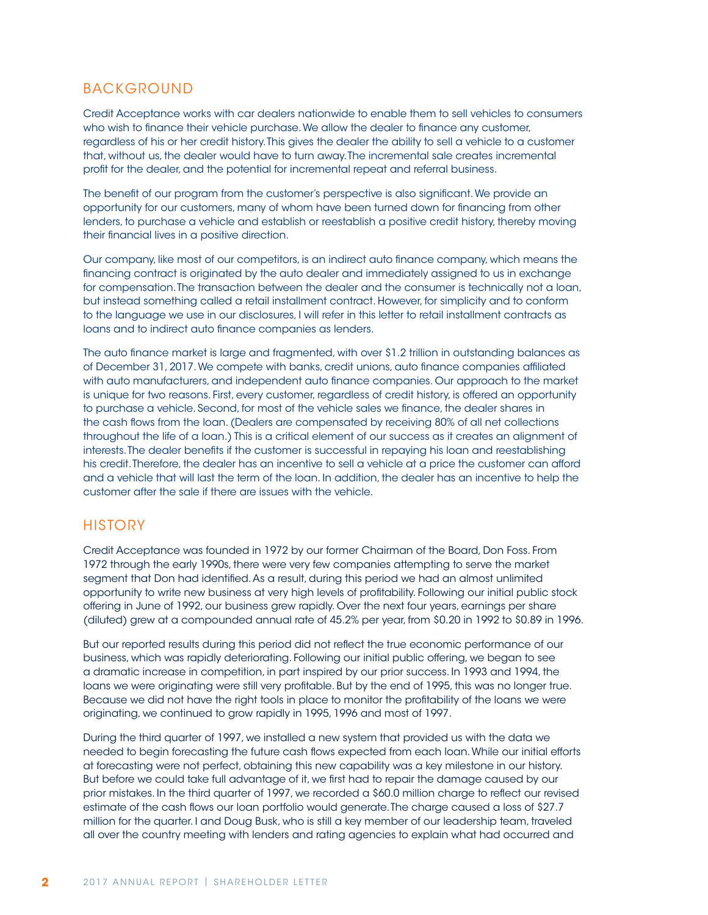### BACKGROUND

Credit Acceptance works with car dealers nationwide to enable them to sell vehicles to consumers who wish to finance their vehicle purchase. We allow the dealer to finance any customer, regardless of his or her credit history. This gives the dealer the ability to sell a vehicle to a customer that, without us, the dealer would have to turn away. The incremental sale creates incremental profit for the dealer, and the potential for incremental repeat and referral business.

The benefit of our program from the customer's perspective is also significant. We provide an opportunity for our customers, many of whom have been turned down for financing from other lenders, to purchase a vehicle and establish or reestablish a positive credit history, thereby moving their financial lives in a positive direction.

Our company, like most of our competitors, is an indirect auto finance company, which means the financing contract is originated by the auto dealer and immediately assigned to us in exchange for compensation. The transaction between the dealer and the consumer is technically not a loan, but instead something called a retail installment contract. However, for simplicity and to conform to the language we use in our disclosures, I will refer in this letter to retail installment contracts as loans and to indirect auto finance companies as lenders.

The auto finance market is large and fragmented, with over \$1.2 trillion in outstanding balances as of December 31, 2017. We compete with banks, credit unions, auto finance companies affiliated with auto manufacturers, and independent auto finance companies. Our approach to the market is unique for two reasons. First, every customer, regardless of credit history, is offered an opportunity to purchase a vehicle. Second, for most of the vehicle sales we finance, the dealer shares in the cash flows from the loan. (Dealers are compensated by receiving 80% of all net collections throughout the life of a loan.) This is a critical element of our success as it creates an alignment of interests. The dealer benefits if the customer is successful in repaying his loan and reestablishing his credit. Therefore, the dealer has an incentive to sell a vehicle at a price the customer can afford and a vehicle that will last the term of the loan. In addition, the dealer has an incentive to help the customer after the sale if there are issues with the vehicle.

### **HISTORY**

Credit Acceptance was founded in 1972 by our former Chairman of the Board, Don Foss. From 1972 through the early 1990s, there were very few companies attempting to serve the market segment that Don had identified. As a result, during this period we had an almost unlimited opportunity to write new business at very high levels of profitability. Following our initial public stock offering in June of 1992, our business grew rapidly. Over the next four years, earnings per share (diluted) grew at a compounded annual rate of 45.2% per year, from \$0.20 in 1992 to \$0.89 in 1996.

But our reported results during this period did not reflect the true economic performance of our business, which was rapidly deteriorating. Following our initial public offering, we began to see a dramatic increase in competition, in part inspired by our prior success. In 1993 and 1994, the loans we were originating were still very profitable. But by the end of 1995, this was no longer true. Because we did not have the right tools in place to monitor the profitability of the loans we were originating, we continued to grow rapidly in 1995, 1996 and most of 1997.

During the third quarter of 1997, we installed a new system that provided us with the data we needed to begin forecasting the future cash flows expected from each loan. While our initial efforts at forecasting were not perfect, obtaining this new capability was a key milestone in our history. But before we could take full advantage of it, we first had to repair the damage caused by our prior mistakes. In the third quarter of 1997, we recorded a \$60.0 million charge to reflect our revised estimate of the cash flows our loan portfolio would generate. The charge caused a loss of \$27.7 million for the quarter. I and Doug Busk, who is still a key member of our leadership team, traveled all over the country meeting with lenders and rating agencies to explain what had occurred and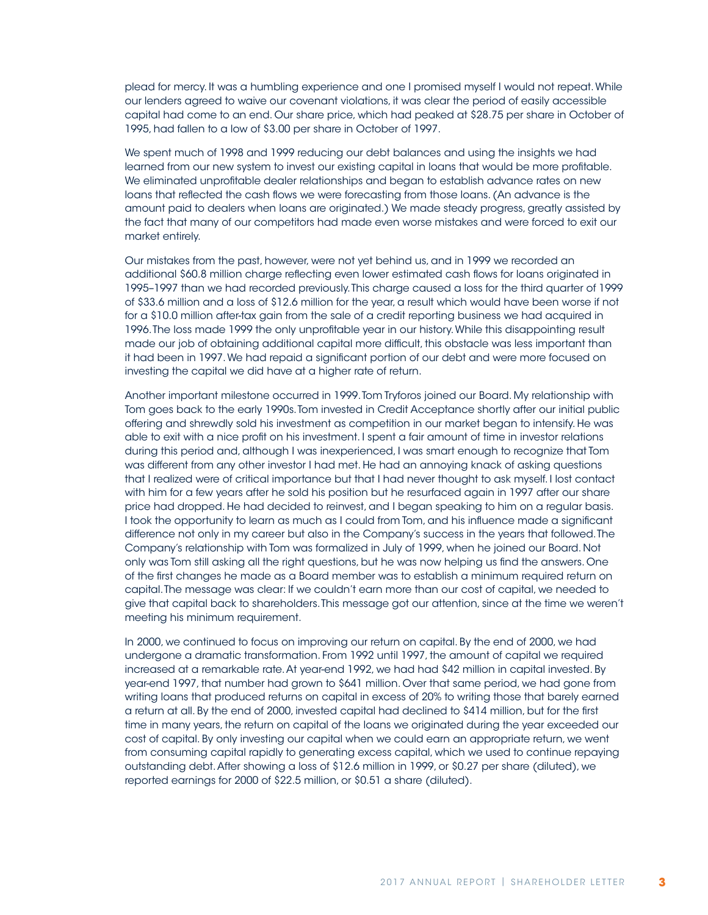plead for mercy. It was a humbling experience and one I promised myself I would not repeat. While our lenders agreed to waive our covenant violations, it was clear the period of easily accessible capital had come to an end. Our share price, which had peaked at \$28.75 per share in October of 1995, had fallen to a low of \$3.00 per share in October of 1997.

We spent much of 1998 and 1999 reducing our debt balances and using the insights we had learned from our new system to invest our existing capital in loans that would be more profitable. We eliminated unprofitable dealer relationships and began to establish advance rates on new loans that reflected the cash flows we were forecasting from those loans. (An advance is the amount paid to dealers when loans are originated.) We made steady progress, greatly assisted by the fact that many of our competitors had made even worse mistakes and were forced to exit our market entirely.

Our mistakes from the past, however, were not yet behind us, and in 1999 we recorded an additional \$60.8 million charge reflecting even lower estimated cash flows for loans originated in 1995–1997 than we had recorded previously. This charge caused a loss for the third quarter of 1999 of \$33.6 million and a loss of \$12.6 million for the year, a result which would have been worse if not for a \$10.0 million after-tax gain from the sale of a credit reporting business we had acquired in 1996. The loss made 1999 the only unprofitable year in our history. While this disappointing result made our job of obtaining additional capital more difficult, this obstacle was less important than it had been in 1997. We had repaid a significant portion of our debt and were more focused on investing the capital we did have at a higher rate of return.

Another important milestone occurred in 1999. Tom Tryforos joined our Board. My relationship with Tom goes back to the early 1990s. Tom invested in Credit Acceptance shortly after our initial public offering and shrewdly sold his investment as competition in our market began to intensify. He was able to exit with a nice profit on his investment. I spent a fair amount of time in investor relations during this period and, although I was inexperienced, I was smart enough to recognize that Tom was different from any other investor I had met. He had an annoying knack of asking questions that I realized were of critical importance but that I had never thought to ask myself. I lost contact with him for a few years after he sold his position but he resurfaced again in 1997 after our share price had dropped. He had decided to reinvest, and I began speaking to him on a regular basis. I took the opportunity to learn as much as I could from Tom, and his influence made a significant difference not only in my career but also in the Company's success in the years that followed. The Company's relationship with Tom was formalized in July of 1999, when he joined our Board. Not only was Tom still asking all the right questions, but he was now helping us find the answers. One of the first changes he made as a Board member was to establish a minimum required return on capital. The message was clear: If we couldn't earn more than our cost of capital, we needed to give that capital back to shareholders. This message got our attention, since at the time we weren't meeting his minimum requirement.

In 2000, we continued to focus on improving our return on capital. By the end of 2000, we had undergone a dramatic transformation. From 1992 until 1997, the amount of capital we required increased at a remarkable rate. At year-end 1992, we had had \$42 million in capital invested. By year-end 1997, that number had grown to \$641 million. Over that same period, we had gone from writing loans that produced returns on capital in excess of 20% to writing those that barely earned a return at all. By the end of 2000, invested capital had declined to \$414 million, but for the first time in many years, the return on capital of the loans we originated during the year exceeded our cost of capital. By only investing our capital when we could earn an appropriate return, we went from consuming capital rapidly to generating excess capital, which we used to continue repaying outstanding debt. After showing a loss of \$12.6 million in 1999, or \$0.27 per share (diluted), we reported earnings for 2000 of \$22.5 million, or \$0.51 a share (diluted).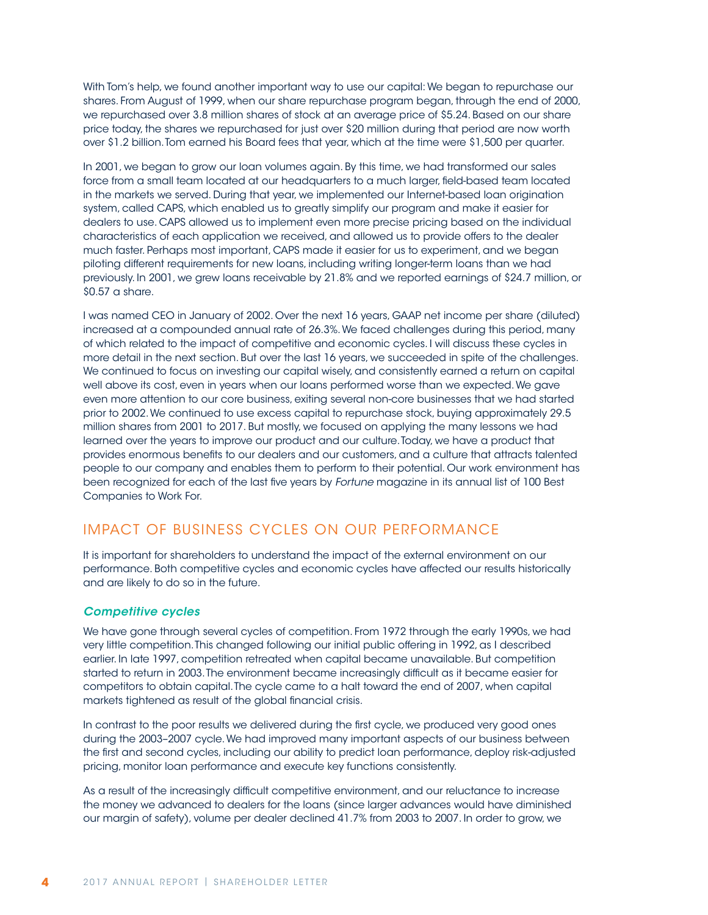With Tom's help, we found another important way to use our capital: We began to repurchase our shares. From August of 1999, when our share repurchase program began, through the end of 2000, we repurchased over 3.8 million shares of stock at an average price of \$5.24. Based on our share price today, the shares we repurchased for just over \$20 million during that period are now worth over \$1.2 billion. Tom earned his Board fees that year, which at the time were \$1,500 per quarter.

In 2001, we began to grow our loan volumes again. By this time, we had transformed our sales force from a small team located at our headquarters to a much larger, field-based team located in the markets we served. During that year, we implemented our Internet-based loan origination system, called CAPS, which enabled us to greatly simplify our program and make it easier for dealers to use. CAPS allowed us to implement even more precise pricing based on the individual characteristics of each application we received, and allowed us to provide offers to the dealer much faster. Perhaps most important, CAPS made it easier for us to experiment, and we began piloting different requirements for new loans, including writing longer-term loans than we had previously. In 2001, we grew loans receivable by 21.8% and we reported earnings of \$24.7 million, or \$0.57 a share.

I was named CEO in January of 2002. Over the next 16 years, GAAP net income per share (diluted) increased at a compounded annual rate of 26.3%. We faced challenges during this period, many of which related to the impact of competitive and economic cycles. I will discuss these cycles in more detail in the next section. But over the last 16 years, we succeeded in spite of the challenges. We continued to focus on investing our capital wisely, and consistently earned a return on capital well above its cost, even in years when our loans performed worse than we expected. We gave even more attention to our core business, exiting several non-core businesses that we had started prior to 2002. We continued to use excess capital to repurchase stock, buying approximately 29.5 million shares from 2001 to 2017. But mostly, we focused on applying the many lessons we had learned over the years to improve our product and our culture. Today, we have a product that provides enormous benefits to our dealers and our customers, and a culture that attracts talented people to our company and enables them to perform to their potential. Our work environment has been recognized for each of the last five years by *Fortune* magazine in its annual list of 100 Best Companies to Work For.

## IMPACT OF BUSINESS CYCLES ON OUR PERFORMANCE

It is important for shareholders to understand the impact of the external environment on our performance. Both competitive cycles and economic cycles have affected our results historically and are likely to do so in the future.

#### *Competitive cycles*

We have gone through several cycles of competition. From 1972 through the early 1990s, we had very little competition. This changed following our initial public offering in 1992, as I described earlier. In late 1997, competition retreated when capital became unavailable. But competition started to return in 2003. The environment became increasingly difficult as it became easier for competitors to obtain capital. The cycle came to a halt toward the end of 2007, when capital markets tightened as result of the global financial crisis.

In contrast to the poor results we delivered during the first cycle, we produced very good ones during the 2003–2007 cycle. We had improved many important aspects of our business between the first and second cycles, including our ability to predict loan performance, deploy risk-adjusted pricing, monitor loan performance and execute key functions consistently.

As a result of the increasingly difficult competitive environment, and our reluctance to increase the money we advanced to dealers for the loans (since larger advances would have diminished our margin of safety), volume per dealer declined 41.7% from 2003 to 2007. In order to grow, we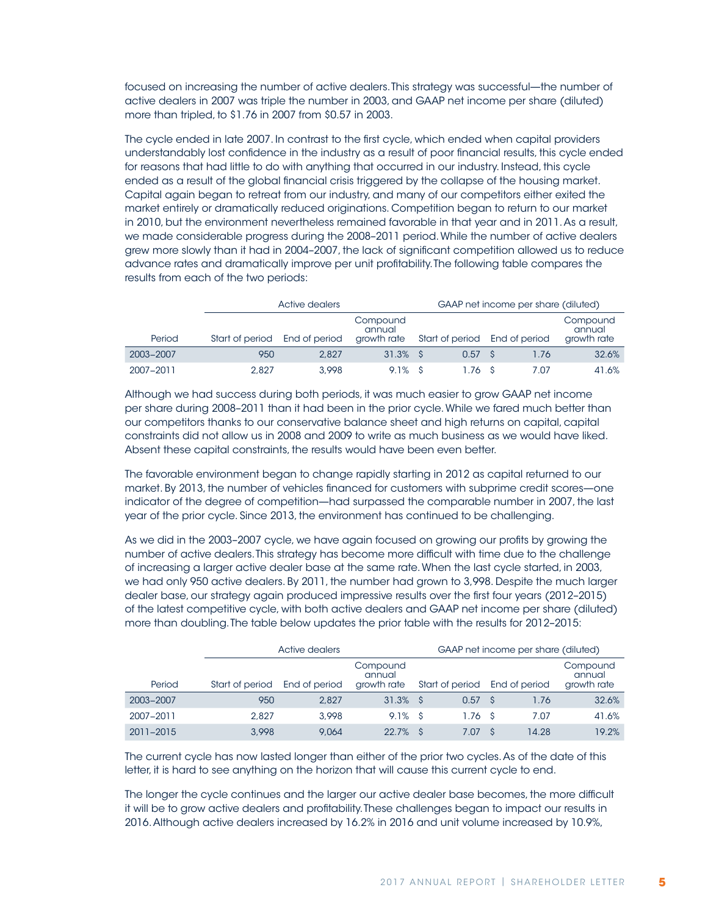focused on increasing the number of active dealers. This strategy was successful—the number of active dealers in 2007 was triple the number in 2003, and GAAP net income per share (diluted) more than tripled, to \$1.76 in 2007 from \$0.57 in 2003.

The cycle ended in late 2007. In contrast to the first cycle, which ended when capital providers understandably lost confidence in the industry as a result of poor financial results, this cycle ended for reasons that had little to do with anything that occurred in our industry. Instead, this cycle ended as a result of the global financial crisis triggered by the collapse of the housing market. Capital again began to retreat from our industry, and many of our competitors either exited the market entirely or dramatically reduced originations. Competition began to return to our market in 2010, but the environment nevertheless remained favorable in that year and in 2011. As a result, we made considerable progress during the 2008–2011 period. While the number of active dealers grew more slowly than it had in 2004–2007, the lack of significant competition allowed us to reduce advance rates and dramatically improve per unit profitability. The following table compares the results from each of the two periods:

|           |                               | Active dealers |                                   | GAAP net income per share (diluted) |      |                                   |  |  |  |
|-----------|-------------------------------|----------------|-----------------------------------|-------------------------------------|------|-----------------------------------|--|--|--|
| Period    | Start of period End of period |                | Compound<br>annual<br>growth rate | Start of period End of period       |      | Compound<br>annual<br>growth rate |  |  |  |
| 2003-2007 | 950                           | 2.827          | $31.3\%$ \$                       | 0.57 S                              | 1.76 | 32.6%                             |  |  |  |
| 2007-2011 | 2.827                         | 3.998          | $9.1\%$ \$                        | 1.76 S                              | 7.07 | 41.6%                             |  |  |  |

Although we had success during both periods, it was much easier to grow GAAP net income per share during 2008–2011 than it had been in the prior cycle. While we fared much better than our competitors thanks to our conservative balance sheet and high returns on capital, capital constraints did not allow us in 2008 and 2009 to write as much business as we would have liked. Absent these capital constraints, the results would have been even better.

The favorable environment began to change rapidly starting in 2012 as capital returned to our market. By 2013, the number of vehicles financed for customers with subprime credit scores—one indicator of the degree of competition—had surpassed the comparable number in 2007, the last year of the prior cycle. Since 2013, the environment has continued to be challenging.

As we did in the 2003–2007 cycle, we have again focused on growing our profits by growing the number of active dealers. This strategy has become more difficult with time due to the challenge of increasing a larger active dealer base at the same rate. When the last cycle started, in 2003, we had only 950 active dealers. By 2011, the number had grown to 3,998. Despite the much larger dealer base, our strategy again produced impressive results over the first four years (2012–2015) of the latest competitive cycle, with both active dealers and GAAP net income per share (diluted) more than doubling. The table below updates the prior table with the results for 2012–2015:

|           |                 | Active dealers | GAAP net income per share (diluted) |  |                 |  |               |                                   |
|-----------|-----------------|----------------|-------------------------------------|--|-----------------|--|---------------|-----------------------------------|
| Period    | Start of period | End of period  | Compound<br>annual<br>growth rate   |  | Start of period |  | End of period | Compound<br>annual<br>growth rate |
| 2003-2007 | 950             | 2.827          | $31.3\%$ \$                         |  | 0.57            |  | 1.76          | 32.6%                             |
| 2007-2011 | 2.827           | 3.998          | $9.1\%$ \$                          |  | 1.76S           |  | 7.07          | 41.6%                             |
| 2011-2015 | 3.998           | 9.064          | 22.7%                               |  | 7.07            |  | 14.28         | 19.2%                             |

The current cycle has now lasted longer than either of the prior two cycles. As of the date of this letter, it is hard to see anything on the horizon that will cause this current cycle to end.

The longer the cycle continues and the larger our active dealer base becomes, the more difficult it will be to grow active dealers and profitability. These challenges began to impact our results in 2016. Although active dealers increased by 16.2% in 2016 and unit volume increased by 10.9%,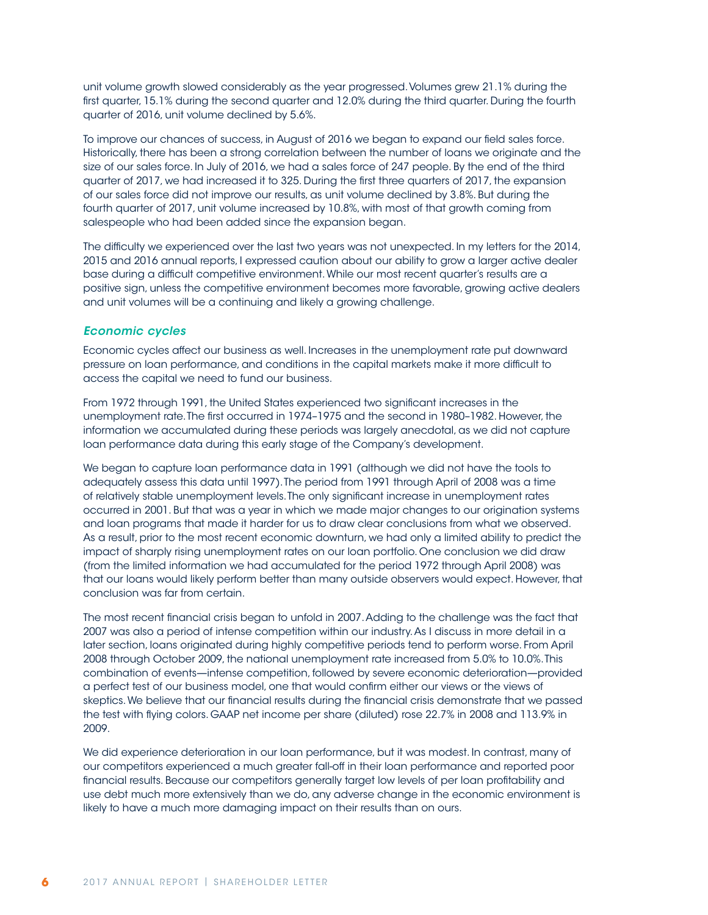unit volume growth slowed considerably as the year progressed. Volumes grew 21.1% during the first quarter, 15.1% during the second quarter and 12.0% during the third quarter. During the fourth quarter of 2016, unit volume declined by 5.6%.

To improve our chances of success, in August of 2016 we began to expand our field sales force. Historically, there has been a strong correlation between the number of loans we originate and the size of our sales force. In July of 2016, we had a sales force of 247 people. By the end of the third quarter of 2017, we had increased it to 325. During the first three quarters of 2017, the expansion of our sales force did not improve our results, as unit volume declined by 3.8%. But during the fourth quarter of 2017, unit volume increased by 10.8%, with most of that growth coming from salespeople who had been added since the expansion began.

The difficulty we experienced over the last two years was not unexpected. In my letters for the 2014, 2015 and 2016 annual reports, I expressed caution about our ability to grow a larger active dealer base during a difficult competitive environment. While our most recent quarter's results are a positive sign, unless the competitive environment becomes more favorable, growing active dealers and unit volumes will be a continuing and likely a growing challenge.

#### *Economic cycles*

Economic cycles affect our business as well. Increases in the unemployment rate put downward pressure on loan performance, and conditions in the capital markets make it more difficult to access the capital we need to fund our business.

From 1972 through 1991, the United States experienced two significant increases in the unemployment rate. The first occurred in 1974–1975 and the second in 1980–1982. However, the information we accumulated during these periods was largely anecdotal, as we did not capture loan performance data during this early stage of the Company's development.

We began to capture loan performance data in 1991 (although we did not have the tools to adequately assess this data until 1997). The period from 1991 through April of 2008 was a time of relatively stable unemployment levels. The only significant increase in unemployment rates occurred in 2001. But that was a year in which we made major changes to our origination systems and loan programs that made it harder for us to draw clear conclusions from what we observed. As a result, prior to the most recent economic downturn, we had only a limited ability to predict the impact of sharply rising unemployment rates on our loan portfolio. One conclusion we did draw (from the limited information we had accumulated for the period 1972 through April 2008) was that our loans would likely perform better than many outside observers would expect. However, that conclusion was far from certain.

The most recent financial crisis began to unfold in 2007. Adding to the challenge was the fact that 2007 was also a period of intense competition within our industry. As I discuss in more detail in a later section, loans originated during highly competitive periods tend to perform worse. From April 2008 through October 2009, the national unemployment rate increased from 5.0% to 10.0%. This combination of events—intense competition, followed by severe economic deterioration—provided a perfect test of our business model, one that would confirm either our views or the views of skeptics. We believe that our financial results during the financial crisis demonstrate that we passed the test with flying colors. GAAP net income per share (diluted) rose 22.7% in 2008 and 113.9% in 2009.

We did experience deterioration in our loan performance, but it was modest. In contrast, many of our competitors experienced a much greater fall-off in their loan performance and reported poor financial results. Because our competitors generally target low levels of per loan profitability and use debt much more extensively than we do, any adverse change in the economic environment is likely to have a much more damaging impact on their results than on ours.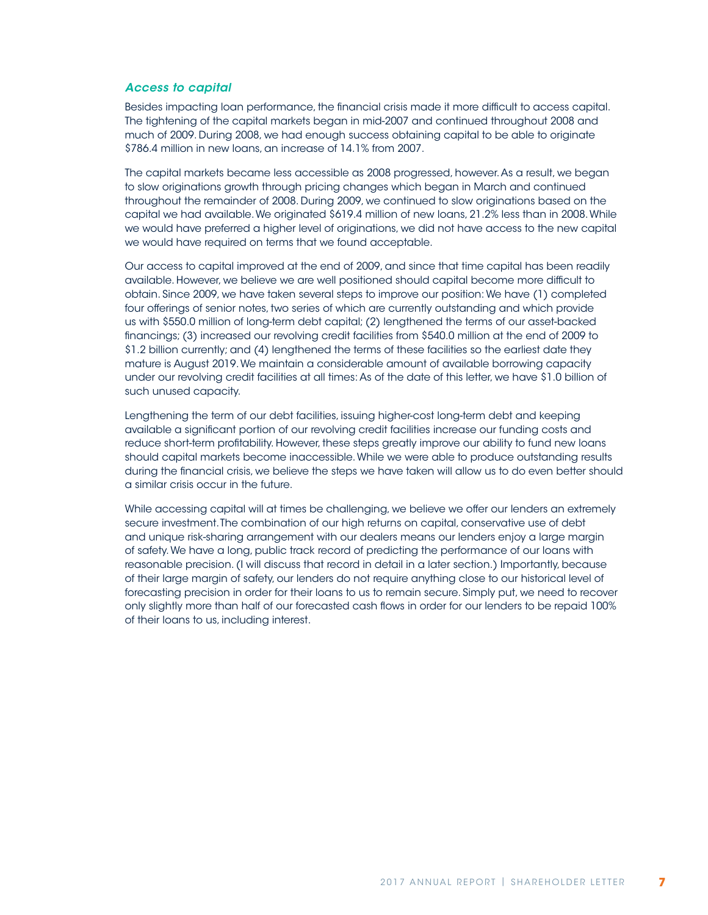#### *Access to capital*

Besides impacting loan performance, the financial crisis made it more difficult to access capital. The tightening of the capital markets began in mid-2007 and continued throughout 2008 and much of 2009. During 2008, we had enough success obtaining capital to be able to originate \$786.4 million in new loans, an increase of 14.1% from 2007.

The capital markets became less accessible as 2008 progressed, however. As a result, we began to slow originations growth through pricing changes which began in March and continued throughout the remainder of 2008. During 2009, we continued to slow originations based on the capital we had available. We originated \$619.4 million of new loans, 21.2% less than in 2008. While we would have preferred a higher level of originations, we did not have access to the new capital we would have required on terms that we found acceptable.

Our access to capital improved at the end of 2009, and since that time capital has been readily available. However, we believe we are well positioned should capital become more difficult to obtain. Since 2009, we have taken several steps to improve our position: We have (1) completed four offerings of senior notes, two series of which are currently outstanding and which provide us with \$550.0 million of long-term debt capital; (2) lengthened the terms of our asset-backed financings; (3) increased our revolving credit facilities from \$540.0 million at the end of 2009 to \$1.2 billion currently; and (4) lengthened the terms of these facilities so the earliest date they mature is August 2019. We maintain a considerable amount of available borrowing capacity under our revolving credit facilities at all times: As of the date of this letter, we have \$1.0 billion of such unused capacity.

Lengthening the term of our debt facilities, issuing higher-cost long-term debt and keeping available a significant portion of our revolving credit facilities increase our funding costs and reduce short-term profitability. However, these steps greatly improve our ability to fund new loans should capital markets become inaccessible. While we were able to produce outstanding results during the financial crisis, we believe the steps we have taken will allow us to do even better should a similar crisis occur in the future.

While accessing capital will at times be challenging, we believe we offer our lenders an extremely secure investment. The combination of our high returns on capital, conservative use of debt and unique risk-sharing arrangement with our dealers means our lenders enjoy a large margin of safety. We have a long, public track record of predicting the performance of our loans with reasonable precision. (I will discuss that record in detail in a later section.) Importantly, because of their large margin of safety, our lenders do not require anything close to our historical level of forecasting precision in order for their loans to us to remain secure. Simply put, we need to recover only slightly more than half of our forecasted cash flows in order for our lenders to be repaid 100% of their loans to us, including interest.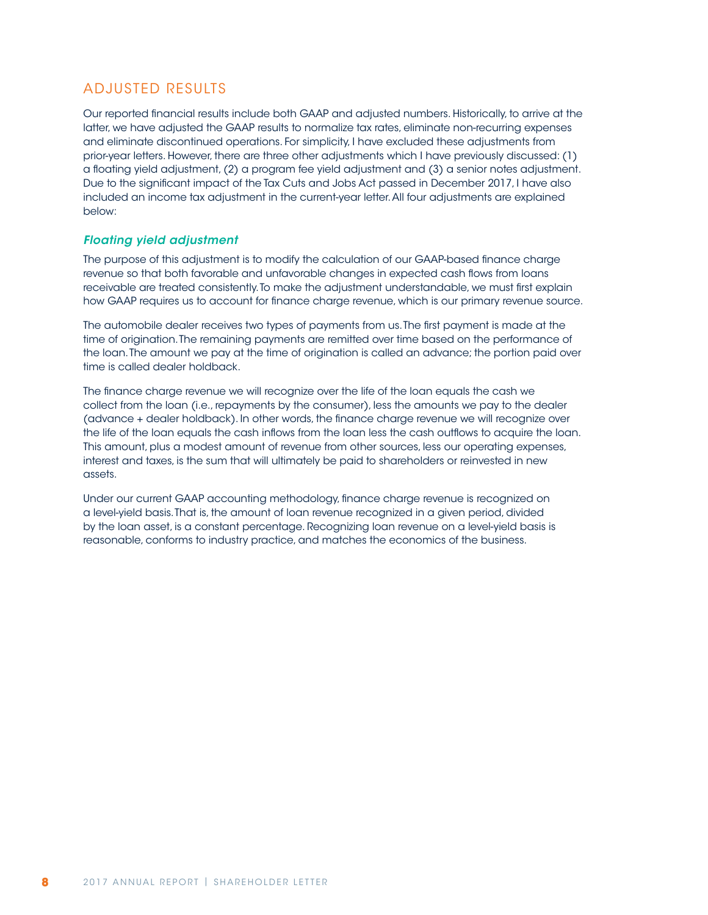## ADJUSTED RESULTS

Our reported financial results include both GAAP and adjusted numbers. Historically, to arrive at the latter, we have adjusted the GAAP results to normalize tax rates, eliminate non-recurring expenses and eliminate discontinued operations. For simplicity, I have excluded these adjustments from prior-year letters. However, there are three other adjustments which I have previously discussed: (1) a floating yield adjustment, (2) a program fee yield adjustment and (3) a senior notes adjustment. Due to the significant impact of the Tax Cuts and Jobs Act passed in December 2017, I have also included an income tax adjustment in the current-year letter. All four adjustments are explained below:

#### *Floating yield adjustment*

The purpose of this adjustment is to modify the calculation of our GAAP-based finance charge revenue so that both favorable and unfavorable changes in expected cash flows from loans receivable are treated consistently. To make the adjustment understandable, we must first explain how GAAP requires us to account for finance charge revenue, which is our primary revenue source.

The automobile dealer receives two types of payments from us. The first payment is made at the time of origination. The remaining payments are remitted over time based on the performance of the loan. The amount we pay at the time of origination is called an advance; the portion paid over time is called dealer holdback.

The finance charge revenue we will recognize over the life of the loan equals the cash we collect from the loan (i.e., repayments by the consumer), less the amounts we pay to the dealer (advance + dealer holdback). In other words, the finance charge revenue we will recognize over the life of the loan equals the cash inflows from the loan less the cash outflows to acquire the loan. This amount, plus a modest amount of revenue from other sources, less our operating expenses, interest and taxes, is the sum that will ultimately be paid to shareholders or reinvested in new assets.

Under our current GAAP accounting methodology, finance charge revenue is recognized on a level-yield basis. That is, the amount of loan revenue recognized in a given period, divided by the loan asset, is a constant percentage. Recognizing loan revenue on a level-yield basis is reasonable, conforms to industry practice, and matches the economics of the business.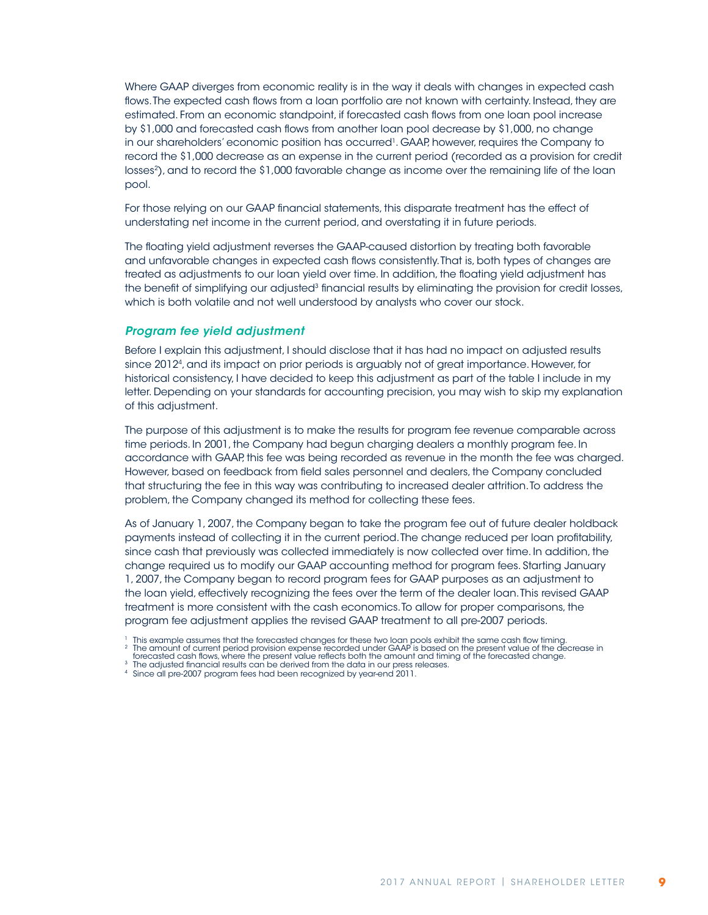Where GAAP diverges from economic reality is in the way it deals with changes in expected cash flows. The expected cash flows from a loan portfolio are not known with certainty. Instead, they are estimated. From an economic standpoint, if forecasted cash flows from one loan pool increase by \$1,000 and forecasted cash flows from another loan pool decrease by \$1,000, no change in our shareholders' economic position has occurred1. GAAP, however, requires the Company to record the \$1,000 decrease as an expense in the current period (recorded as a provision for credit losses<sup>2</sup>), and to record the \$1,000 favorable change as income over the remaining life of the loan pool.

For those relying on our GAAP financial statements, this disparate treatment has the effect of understating net income in the current period, and overstating it in future periods.

The floating yield adjustment reverses the GAAP-caused distortion by treating both favorable and unfavorable changes in expected cash flows consistently. That is, both types of changes are treated as adjustments to our loan yield over time. In addition, the floating yield adjustment has the benefit of simplifying our adjusted<sup>3</sup> financial results by eliminating the provision for credit losses, which is both volatile and not well understood by analysts who cover our stock.

#### *Program fee yield adjustment*

Before I explain this adjustment, I should disclose that it has had no impact on adjusted results since 20124, and its impact on prior periods is arguably not of great importance. However, for historical consistency, I have decided to keep this adjustment as part of the table I include in my letter. Depending on your standards for accounting precision, you may wish to skip my explanation of this adjustment.

The purpose of this adjustment is to make the results for program fee revenue comparable across time periods. In 2001, the Company had begun charging dealers a monthly program fee. In accordance with GAAP, this fee was being recorded as revenue in the month the fee was charged. However, based on feedback from field sales personnel and dealers, the Company concluded that structuring the fee in this way was contributing to increased dealer attrition. To address the problem, the Company changed its method for collecting these fees.

As of January 1, 2007, the Company began to take the program fee out of future dealer holdback payments instead of collecting it in the current period. The change reduced per loan profitability, since cash that previously was collected immediately is now collected over time. In addition, the change required us to modify our GAAP accounting method for program fees. Starting January 1, 2007, the Company began to record program fees for GAAP purposes as an adjustment to the loan yield, effectively recognizing the fees over the term of the dealer loan. This revised GAAP treatment is more consistent with the cash economics. To allow for proper comparisons, the program fee adjustment applies the revised GAAP treatment to all pre-2007 periods.

<sup>1</sup> This example assumes that the forecasted changes for these two loan pools exhibit the same cash flow timing.<br><sup>2</sup> The amount of current period provision expense recorded under GAAP is based on the present value of the dec

forecasted cash flows, where the present value reflects both the amount and timing of the forecasted change.<br><sup>3</sup> The adjusted financial results can be derived from the data in our press releases.

<sup>4</sup> Since all pre-2007 program fees had been recognized by year-end 2011.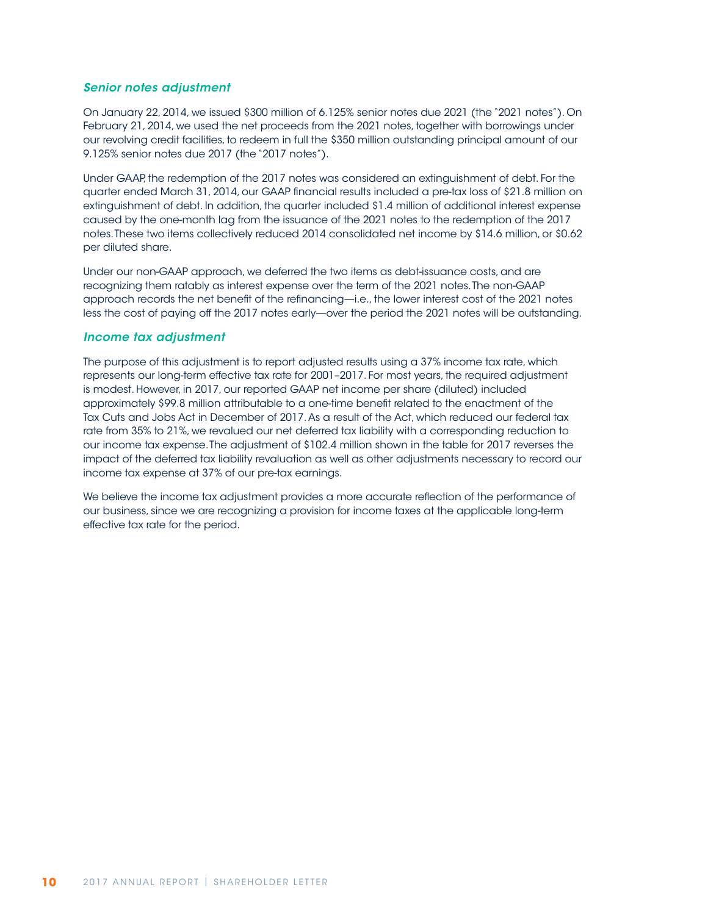#### *Senior notes adjustment*

On January 22, 2014, we issued \$300 million of 6.125% senior notes due 2021 (the "2021 notes"). On February 21, 2014, we used the net proceeds from the 2021 notes, together with borrowings under our revolving credit facilities, to redeem in full the \$350 million outstanding principal amount of our 9.125% senior notes due 2017 (the "2017 notes").

Under GAAP, the redemption of the 2017 notes was considered an extinguishment of debt. For the quarter ended March 31, 2014, our GAAP financial results included a pre-tax loss of \$21.8 million on extinguishment of debt. In addition, the quarter included \$1.4 million of additional interest expense caused by the one-month lag from the issuance of the 2021 notes to the redemption of the 2017 notes. These two items collectively reduced 2014 consolidated net income by \$14.6 million, or \$0.62 per diluted share.

Under our non-GAAP approach, we deferred the two items as debt-issuance costs, and are recognizing them ratably as interest expense over the term of the 2021 notes. The non-GAAP approach records the net benefit of the refinancing—i.e., the lower interest cost of the 2021 notes less the cost of paying off the 2017 notes early—over the period the 2021 notes will be outstanding.

#### *Income tax adjustment*

The purpose of this adjustment is to report adjusted results using a 37% income tax rate, which represents our long-term effective tax rate for 2001–2017. For most years, the required adjustment is modest. However, in 2017, our reported GAAP net income per share (diluted) included approximately \$99.8 million attributable to a one-time benefit related to the enactment of the Tax Cuts and Jobs Act in December of 2017. As a result of the Act, which reduced our federal tax rate from 35% to 21%, we revalued our net deferred tax liability with a corresponding reduction to our income tax expense. The adjustment of \$102.4 million shown in the table for 2017 reverses the impact of the deferred tax liability revaluation as well as other adjustments necessary to record our income tax expense at 37% of our pre-tax earnings.

We believe the income tax adjustment provides a more accurate reflection of the performance of our business, since we are recognizing a provision for income taxes at the applicable long-term effective tax rate for the period.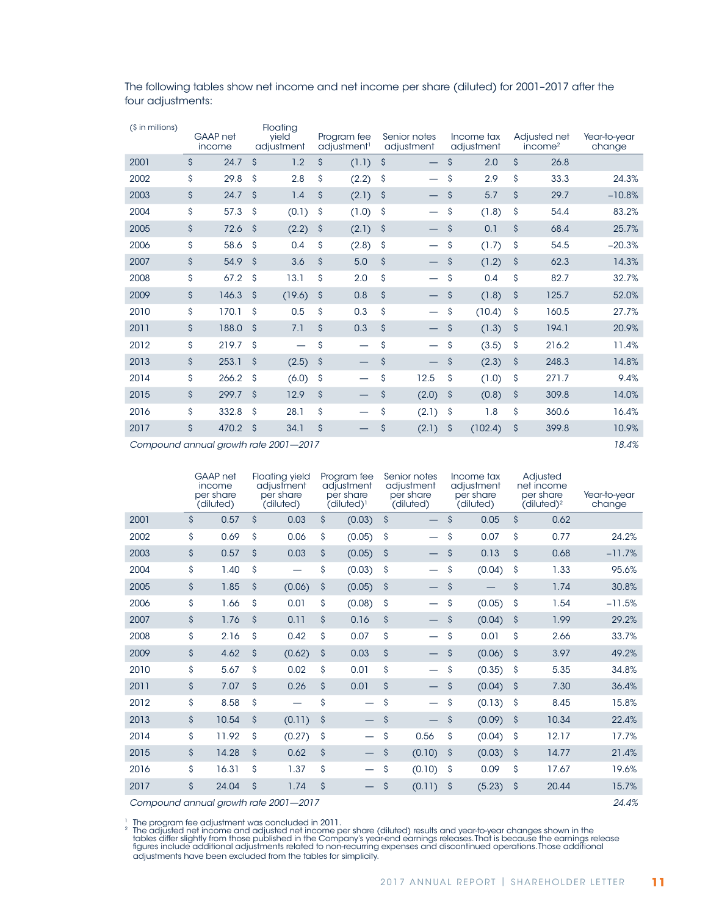| (\$ in millions) |                    | <b>GAAP</b> net<br>income |                     | Floating<br>yield<br>adjustment |                     | Program fee<br>adjustment <sup>1</sup> |                    | Senior notes<br>adjustment |                     | Income tax<br>adjustment |                    | Adjusted net<br>income <sup>2</sup> | Year-to-year<br>change |
|------------------|--------------------|---------------------------|---------------------|---------------------------------|---------------------|----------------------------------------|--------------------|----------------------------|---------------------|--------------------------|--------------------|-------------------------------------|------------------------|
| 2001             | \$                 | 24.7                      | $\mathsf{\hat{S}}$  | 1.2                             | \$                  | (1.1)                                  | \$                 | —                          | \$                  | 2.0                      | $\mathsf{\hat{S}}$ | 26.8                                |                        |
| 2002             | \$                 | 29.8                      | $\mathsf{\hat{S}}$  | 2.8                             | \$                  | (2.2)                                  | \$                 | —                          | \$                  | 2.9                      | \$                 | 33.3                                | 24.3%                  |
| 2003             | $\mathsf{\hat{S}}$ | 24.7                      | $\mathsf{\hat{S}}$  | 1.4                             | \$                  | (2.1)                                  | \$                 |                            | \$                  | 5.7                      | \$                 | 29.7                                | $-10.8%$               |
| 2004             | \$                 | 57.3                      | \$                  | (0.1)                           | \$                  | (1.0)                                  | \$                 |                            | \$                  | (1.8)                    | \$                 | 54.4                                | 83.2%                  |
| 2005             | \$                 | 72.6                      | $\hat{\mathcal{S}}$ | (2.2)                           | \$                  | (2.1)                                  | \$                 |                            | \$                  | 0.1                      | \$                 | 68.4                                | 25.7%                  |
| 2006             | \$                 | 58.6                      | \$                  | 0.4                             | \$                  | (2.8)                                  | \$                 |                            | \$                  | (1.7)                    | \$                 | 54.5                                | $-20.3%$               |
| 2007             | \$                 | 54.9                      | $\hat{\mathcal{S}}$ | 3.6                             | \$                  | 5.0                                    | \$                 |                            | \$                  | (1.2)                    | \$                 | 62.3                                | 14.3%                  |
| 2008             | \$                 | 67.2                      | \$                  | 13.1                            | \$                  | 2.0                                    | \$                 |                            | \$                  | 0.4                      | \$                 | 82.7                                | 32.7%                  |
| 2009             | \$                 | 146.3                     | $\mathsf{\hat{S}}$  | (19.6)                          | \$                  | 0.8                                    | $\mathsf{\hat{S}}$ |                            | \$                  | (1.8)                    | \$                 | 125.7                               | 52.0%                  |
| 2010             | \$                 | 170.1                     | $\mathsf{\hat{S}}$  | 0.5                             | \$                  | 0.3                                    | \$                 |                            | \$                  | (10.4)                   | \$                 | 160.5                               | 27.7%                  |
| 2011             | \$                 | 188.0                     | $\mathsf{\hat{S}}$  | 7.1                             | $\mathsf{\hat{S}}$  | 0.3                                    | $\mathsf{\hat{S}}$ |                            | \$                  | (1.3)                    | \$                 | 194.1                               | 20.9%                  |
| 2012             | \$                 | 219.7                     | $\mathsf{\hat{S}}$  |                                 | \$                  | -                                      | \$                 |                            | \$                  | (3.5)                    | \$                 | 216.2                               | 11.4%                  |
| 2013             | \$                 | 253.1                     | $\mathsf{\hat{S}}$  | (2.5)                           | $\hat{\mathcal{S}}$ |                                        | \$                 |                            | \$                  | (2.3)                    | \$                 | 248.3                               | 14.8%                  |
| 2014             | \$                 | 266.2                     | $\mathsf{\hat{S}}$  | (6.0)                           | \$                  |                                        | \$                 | 12.5                       | Ŝ                   | (1.0)                    | \$                 | 271.7                               | 9.4%                   |
| 2015             | $\mathsf{\hat{S}}$ | 299.7                     | $\mathsf{\hat{S}}$  | 12.9                            | \$                  |                                        | \$                 | (2.0)                      | $\hat{\mathcal{S}}$ | (0.8)                    | \$                 | 309.8                               | 14.0%                  |
| 2016             | \$                 | 332.8                     | \$                  | 28.1                            | \$                  | $\overline{\phantom{0}}$               | \$                 | (2.1)                      | \$                  | 1.8                      | \$                 | 360.6                               | 16.4%                  |
| 2017             | $\mathsf{\hat{S}}$ | 470.2                     | $\mathsf{\hat{S}}$  | 34.1                            | \$                  |                                        | \$                 | (2.1)                      | \$                  | (102.4)                  | \$                 | 399.8                               | 10.9%                  |

The following tables show net income and net income per share (diluted) for 2001–2017 after the four adjustments:

*Compound annual growth rate 2001—2017 18.4%*

|      |                    | GAAP net<br>income<br>per share<br>(diluted) |                    | <b>Floating yield</b><br>adjustment<br>per share<br>(diluted) |                    | Program fee<br>adjustment<br>per share<br>(diluted) <sup>1</sup> |                    | Senior notes<br>adjustment<br>per share<br>(diluted) |                    | Income tax<br>adjustment<br>per share<br>(diluted) |                    | Adjusted<br>net income<br>per share<br>(diluted) <sup>2</sup> | Year-to-year<br>change |
|------|--------------------|----------------------------------------------|--------------------|---------------------------------------------------------------|--------------------|------------------------------------------------------------------|--------------------|------------------------------------------------------|--------------------|----------------------------------------------------|--------------------|---------------------------------------------------------------|------------------------|
| 2001 | $\mathsf{\hat{S}}$ | 0.57                                         | $\mathsf{\hat{S}}$ | 0.03                                                          | $\mathsf{\hat{S}}$ | (0.03)                                                           | $\mathsf{\hat{S}}$ | $\overline{\phantom{0}}$                             | $\mathsf{\hat{S}}$ | 0.05                                               | $\mathsf{\hat{S}}$ | 0.62                                                          |                        |
| 2002 | \$                 | 0.69                                         | \$                 | 0.06                                                          | \$                 | (0.05)                                                           | Ŝ                  |                                                      | \$                 | 0.07                                               | \$                 | 0.77                                                          | 24.2%                  |
| 2003 | $\mathsf{S}$       | 0.57                                         | $\mathsf{\hat{S}}$ | 0.03                                                          | \$                 | (0.05)                                                           | Ŝ                  |                                                      | $\mathsf{\hat{S}}$ | 0.13                                               | $\mathsf{\hat{S}}$ | 0.68                                                          | $-11.7%$               |
| 2004 | \$                 | 1.40                                         | \$                 |                                                               | \$                 | (0.03)                                                           | Ŝ                  | —                                                    | \$                 | (0.04)                                             | \$                 | 1.33                                                          | 95.6%                  |
| 2005 | $\mathsf{\hat{S}}$ | 1.85                                         | $\mathsf{\hat{S}}$ | (0.06)                                                        | \$                 | (0.05)                                                           | $\mathsf{\hat{S}}$ | $\overline{\phantom{0}}$                             | \$                 |                                                    | \$                 | 1.74                                                          | 30.8%                  |
| 2006 | \$                 | 1.66                                         | \$                 | 0.01                                                          | \$                 | (0.08)                                                           | \$                 |                                                      | \$                 | (0.05)                                             | \$                 | 1.54                                                          | $-11.5%$               |
| 2007 | $\mathsf{\hat{S}}$ | 1.76                                         | $\mathsf{\hat{S}}$ | 0.11                                                          | $\mathsf{\hat{S}}$ | 0.16                                                             | \$                 |                                                      | \$                 | (0.04)                                             | \$                 | 1.99                                                          | 29.2%                  |
| 2008 | \$                 | 2.16                                         | \$                 | 0.42                                                          | \$                 | 0.07                                                             | \$                 |                                                      | Ŝ                  | 0.01                                               | Ŝ                  | 2.66                                                          | 33.7%                  |
| 2009 | \$                 | 4.62                                         | $\mathsf{\hat{S}}$ | (0.62)                                                        | \$                 | 0.03                                                             | \$                 |                                                      | $\mathsf{\hat{S}}$ | (0.06)                                             | \$                 | 3.97                                                          | 49.2%                  |
| 2010 | \$                 | 5.67                                         | \$                 | 0.02                                                          | \$                 | 0.01                                                             | \$                 | —                                                    | \$                 | (0.35)                                             | \$                 | 5.35                                                          | 34.8%                  |
| 2011 | $\mathsf{\hat{S}}$ | 7.07                                         | \$                 | 0.26                                                          | \$                 | 0.01                                                             | $\mathsf{\hat{S}}$ |                                                      | $\mathsf{\hat{S}}$ | (0.04)                                             | $\mathsf{S}$       | 7.30                                                          | 36.4%                  |
| 2012 | \$                 | 8.58                                         | \$                 |                                                               | \$                 | $\qquad \qquad$                                                  | \$                 |                                                      | \$                 | (0.13)                                             | \$                 | 8.45                                                          | 15.8%                  |
| 2013 | \$                 | 10.54                                        | $\mathsf{\hat{S}}$ | (0.11)                                                        | $\mathsf{\hat{S}}$ |                                                                  | \$                 |                                                      | \$                 | (0.09)                                             | $\mathsf{\hat{S}}$ | 10.34                                                         | 22.4%                  |
| 2014 | Ś                  | 11.92                                        | \$                 | (0.27)                                                        | \$                 |                                                                  | Ŝ                  | 0.56                                                 | \$                 | (0.04)                                             | \$                 | 12.17                                                         | 17.7%                  |
| 2015 | \$                 | 14.28                                        | $\mathsf{\hat{S}}$ | 0.62                                                          | $\mathsf{\hat{S}}$ |                                                                  | $\mathsf{\hat{S}}$ | (0.10)                                               | \$                 | (0.03)                                             | \$                 | 14.77                                                         | 21.4%                  |
| 2016 | Ś                  | 16.31                                        | Ś                  | 1.37                                                          | \$                 |                                                                  | Ŝ                  | (0.10)                                               | \$                 | 0.09                                               | \$                 | 17.67                                                         | 19.6%                  |
| 2017 | $\mathsf{\hat{S}}$ | 24.04                                        | $\mathsf{\hat{S}}$ | 1.74                                                          | \$                 |                                                                  | Ŝ                  | (0.11)                                               | \$                 | (5.23)                                             | Ŝ                  | 20.44                                                         | 15.7%                  |
|      |                    |                                              |                    | Compound annual growth rate 2001-2017                         |                    |                                                                  |                    |                                                      |                    |                                                    |                    |                                                               | 24.4%                  |

1 The program fee adjustment was concluded in 2011.<br>2 The adjusted net income and adjusted net income per share (diluted) results and year-to-year changes shown in the<br>1 tables differ slightly from those published in the C figures include additional adjustments related to non-recurring expenses and discontinued operations. Those additional adjustments have been excluded from the tables for simplicity.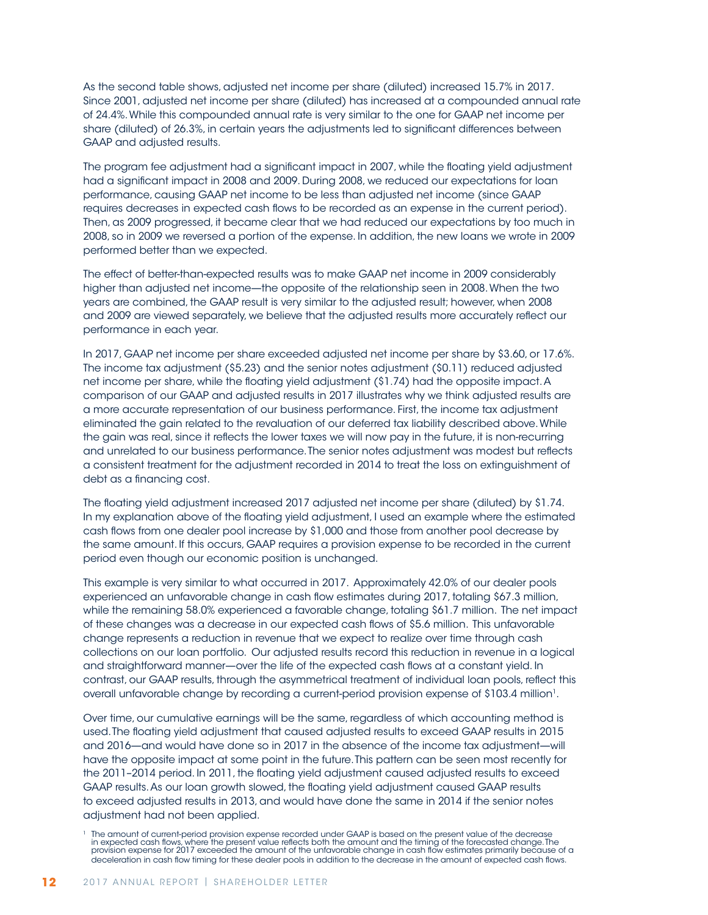As the second table shows, adjusted net income per share (diluted) increased 15.7% in 2017. Since 2001, adjusted net income per share (diluted) has increased at a compounded annual rate of 24.4%. While this compounded annual rate is very similar to the one for GAAP net income per share (diluted) of 26.3%, in certain years the adjustments led to significant differences between GAAP and adjusted results.

The program fee adjustment had a significant impact in 2007, while the floating yield adjustment had a significant impact in 2008 and 2009. During 2008, we reduced our expectations for loan performance, causing GAAP net income to be less than adjusted net income (since GAAP requires decreases in expected cash flows to be recorded as an expense in the current period). Then, as 2009 progressed, it became clear that we had reduced our expectations by too much in 2008, so in 2009 we reversed a portion of the expense. In addition, the new loans we wrote in 2009 performed better than we expected.

The effect of better-than-expected results was to make GAAP net income in 2009 considerably higher than adjusted net income—the opposite of the relationship seen in 2008. When the two years are combined, the GAAP result is very similar to the adjusted result; however, when 2008 and 2009 are viewed separately, we believe that the adjusted results more accurately reflect our performance in each year.

In 2017, GAAP net income per share exceeded adjusted net income per share by \$3.60, or 17.6%. The income tax adjustment (\$5.23) and the senior notes adjustment (\$0.11) reduced adjusted net income per share, while the floating yield adjustment (\$1.74) had the opposite impact. A comparison of our GAAP and adjusted results in 2017 illustrates why we think adjusted results are a more accurate representation of our business performance. First, the income tax adjustment eliminated the gain related to the revaluation of our deferred tax liability described above. While the gain was real, since it reflects the lower taxes we will now pay in the future, it is non-recurring and unrelated to our business performance. The senior notes adjustment was modest but reflects a consistent treatment for the adjustment recorded in 2014 to treat the loss on extinguishment of debt as a financing cost.

The floating yield adjustment increased 2017 adjusted net income per share (diluted) by \$1.74. In my explanation above of the floating yield adjustment, I used an example where the estimated cash flows from one dealer pool increase by \$1,000 and those from another pool decrease by the same amount. If this occurs, GAAP requires a provision expense to be recorded in the current period even though our economic position is unchanged.

This example is very similar to what occurred in 2017. Approximately 42.0% of our dealer pools experienced an unfavorable change in cash flow estimates during 2017, totaling \$67.3 million, while the remaining 58.0% experienced a favorable change, totaling \$61.7 million. The net impact of these changes was a decrease in our expected cash flows of \$5.6 million. This unfavorable change represents a reduction in revenue that we expect to realize over time through cash collections on our loan portfolio. Our adjusted results record this reduction in revenue in a logical and straightforward manner—over the life of the expected cash flows at a constant yield. In contrast, our GAAP results, through the asymmetrical treatment of individual loan pools, reflect this overall unfavorable change by recording a current-period provision expense of \$103.4 million1.

Over time, our cumulative earnings will be the same, regardless of which accounting method is used. The floating yield adjustment that caused adjusted results to exceed GAAP results in 2015 and 2016—and would have done so in 2017 in the absence of the income tax adjustment—will have the opposite impact at some point in the future. This pattern can be seen most recently for the 2011–2014 period. In 2011, the floating yield adjustment caused adjusted results to exceed GAAP results. As our loan growth slowed, the floating yield adjustment caused GAAP results to exceed adjusted results in 2013, and would have done the same in 2014 if the senior notes adjustment had not been applied.

<sup>1</sup> The amount of current-period provision expense recorded under GAAP is based on the present value of the decrease in expected cash flows, where the present value reflects both the amount and the timing of the forecasted change.The<br>provision expense for 2017 exceeded the amount of the unfavorable change in cash flow estimates primarily deceleration in cash flow timing for these dealer pools in addition to the decrease in the amount of expected cash flows.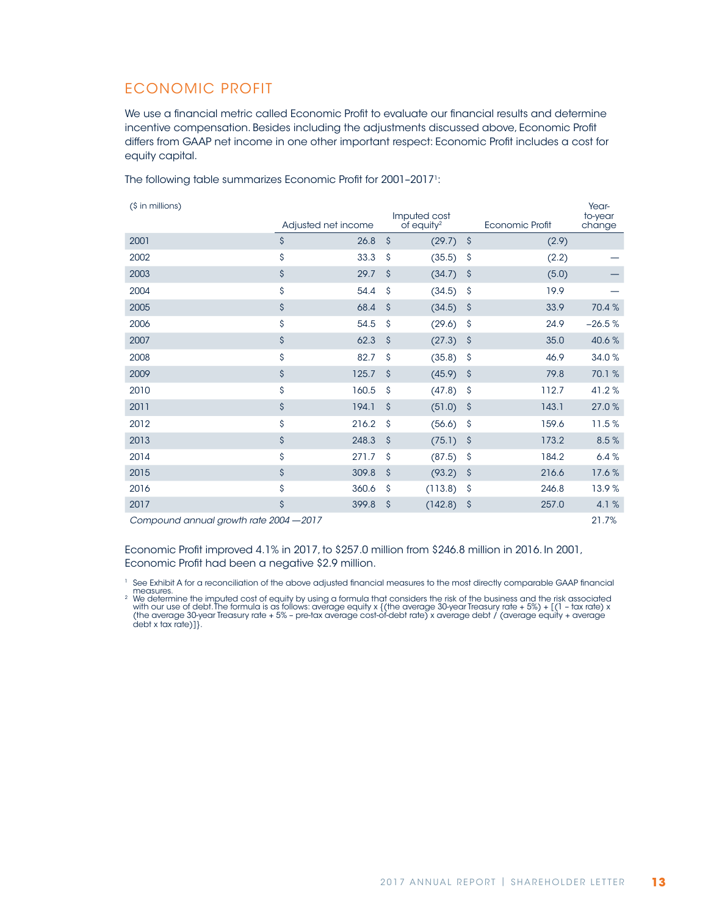### ECONOMIC PROFIT

We use a financial metric called Economic Profit to evaluate our financial results and determine incentive compensation. Besides including the adjustments discussed above, Economic Profit differs from GAAP net income in one other important respect: Economic Profit includes a cost for equity capital.

The following table summarizes Economic Profit for 2001-2017<sup>1</sup>:

(\$ in millions)

| (\$ in millions)                                                                                                                                                                                                                                                                                                              |      |                     |                     | Imputed cost             |         |                 | Year-<br>to-year |
|-------------------------------------------------------------------------------------------------------------------------------------------------------------------------------------------------------------------------------------------------------------------------------------------------------------------------------|------|---------------------|---------------------|--------------------------|---------|-----------------|------------------|
|                                                                                                                                                                                                                                                                                                                               |      | Adjusted net income |                     | $of$ equity <sup>2</sup> |         | Economic Profit | change           |
| 2001                                                                                                                                                                                                                                                                                                                          | \$   | 26.8                | $\mathsf{\hat{S}}$  | (29.7)                   | $\zeta$ | (2.9)           |                  |
| 2002                                                                                                                                                                                                                                                                                                                          | \$   | 33.3                | \$                  | (35.5)                   | \$      | (2.2)           |                  |
| 2003                                                                                                                                                                                                                                                                                                                          | \$   | 29.7                | $\mathsf{\hat{S}}$  | (34.7)                   | \$      | (5.0)           |                  |
| 2004                                                                                                                                                                                                                                                                                                                          | \$   | 54.4                | \$                  | (34.5)                   | \$      | 19.9            |                  |
| 2005                                                                                                                                                                                                                                                                                                                          | \$   | 68.4                | $\mathsf{\hat{S}}$  | (34.5)                   | \$      | 33.9            | 70.4%            |
| 2006                                                                                                                                                                                                                                                                                                                          | \$   | 54.5                | \$                  | (29.6)                   | \$      | 24.9            | $-26.5%$         |
| 2007                                                                                                                                                                                                                                                                                                                          | \$   | 62.3                | $\mathsf{\hat{S}}$  | (27.3)                   | \$      | 35.0            | 40.6%            |
| 2008                                                                                                                                                                                                                                                                                                                          | \$   | 82.7                | \$                  | (35.8)                   | \$      | 46.9            | 34.0%            |
| 2009                                                                                                                                                                                                                                                                                                                          | \$   | 125.7               | $\mathsf{\hat{S}}$  | (45.9)                   | \$      | 79.8            | 70.1%            |
| 2010                                                                                                                                                                                                                                                                                                                          | \$   | 160.5               | \$                  | (47.8)                   | \$      | 112.7           | 41.2%            |
| 2011                                                                                                                                                                                                                                                                                                                          | \$   | 194.1               | $\mathsf{\hat{S}}$  | (51.0)                   | \$      | 143.1           | 27.0%            |
| 2012                                                                                                                                                                                                                                                                                                                          | \$   | 216.2               | \$                  | (56.6)                   | \$      | 159.6           | 11.5%            |
| 2013                                                                                                                                                                                                                                                                                                                          | \$   | 248.3               | $\mathsf{\hat{S}}$  | (75.1)                   | \$      | 173.2           | 8.5%             |
| 2014                                                                                                                                                                                                                                                                                                                          | \$   | 271.7               | \$                  | (87.5)                   | \$      | 184.2           | 6.4%             |
| 2015                                                                                                                                                                                                                                                                                                                          | \$   | 309.8               | $\hat{\mathcal{S}}$ | (93.2)                   | \$      | 216.6           | 17.6%            |
| 2016                                                                                                                                                                                                                                                                                                                          | \$   | 360.6               | \$                  | (113.8)                  | \$      | 246.8           | 13.9%            |
| 2017                                                                                                                                                                                                                                                                                                                          | \$   | 399.8               | \$                  | (142.8)                  | \$      | 257.0           | 4.1%             |
| $\frac{1}{2}$ $\frac{1}{2}$ $\frac{1}{2}$ $\frac{1}{2}$ $\frac{1}{2}$ $\frac{1}{2}$ $\frac{1}{2}$ $\frac{1}{2}$ $\frac{1}{2}$ $\frac{1}{2}$ $\frac{1}{2}$ $\frac{1}{2}$ $\frac{1}{2}$ $\frac{1}{2}$ $\frac{1}{2}$ $\frac{1}{2}$ $\frac{1}{2}$ $\frac{1}{2}$ $\frac{1}{2}$ $\frac{1}{2}$ $\frac{1}{2}$ $\frac{1}{2}$<br>$\sim$ | 0017 |                     |                     |                          |         |                 | 01.701           |

*Compound annual growth rate 2004* —*2017* 21.7%

Economic Profit improved 4.1% in 2017, to \$257.0 million from \$246.8 million in 2016. In 2001, Economic Profit had been a negative \$2.9 million.

<sup>1</sup> See Exhibit A for a reconciliation of the above adjusted financial measures to the most directly comparable GAAP financial

measures.<br>2 We determine the imputed cost of equity by using a formula that considers the risk of the business and the risk associated<br>3 with our use of debt. The formula is as follows: average equity x {(the average 30-ye debt x tax rate)]}.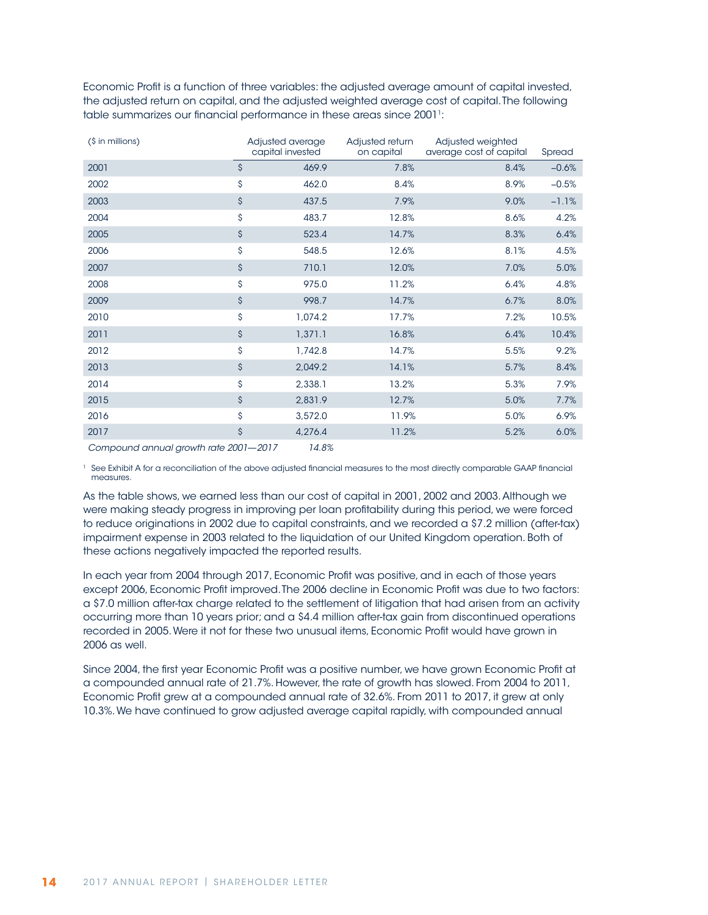Economic Profit is a function of three variables: the adjusted average amount of capital invested, the adjusted return on capital, and the adjusted weighted average cost of capital. The following table summarizes our financial performance in these areas since 20011:

| (\$ in millions) | Adjusted average<br>capital invested | Adjusted return<br>on capital | Adjusted weighted<br>average cost of capital | Spread  |
|------------------|--------------------------------------|-------------------------------|----------------------------------------------|---------|
| 2001             | \$<br>469.9                          | 7.8%                          | 8.4%                                         | $-0.6%$ |
| 2002             | \$<br>462.0                          | 8.4%                          | 8.9%                                         | $-0.5%$ |
| 2003             | \$<br>437.5                          | 7.9%                          | 9.0%                                         | $-1.1%$ |
| 2004             | \$<br>483.7                          | 12.8%                         | 8.6%                                         | 4.2%    |
| 2005             | \$<br>523.4                          | 14.7%                         | 8.3%                                         | 6.4%    |
| 2006             | \$<br>548.5                          | 12.6%                         | 8.1%                                         | 4.5%    |
| 2007             | \$<br>710.1                          | 12.0%                         | 7.0%                                         | 5.0%    |
| 2008             | \$<br>975.0                          | 11.2%                         | 6.4%                                         | 4.8%    |
| 2009             | \$<br>998.7                          | 14.7%                         | 6.7%                                         | 8.0%    |
| 2010             | \$<br>1,074.2                        | 17.7%                         | 7.2%                                         | 10.5%   |
| 2011             | \$<br>1,371.1                        | 16.8%                         | 6.4%                                         | 10.4%   |
| 2012             | \$<br>1,742.8                        | 14.7%                         | 5.5%                                         | 9.2%    |
| 2013             | \$<br>2,049.2                        | 14.1%                         | 5.7%                                         | 8.4%    |
| 2014             | \$<br>2,338.1                        | 13.2%                         | 5.3%                                         | 7.9%    |
| 2015             | \$<br>2,831.9                        | 12.7%                         | 5.0%                                         | 7.7%    |
| 2016             | \$<br>3,572.0                        | 11.9%                         | 5.0%                                         | 6.9%    |
| 2017             | \$<br>4,276.4                        | 11.2%                         | 5.2%                                         | 6.0%    |

*Compound annual growth rate 2001*—*2017 14.8%*

<sup>1</sup> See Exhibit A for a reconciliation of the above adjusted financial measures to the most directly comparable GAAP financial measures.

As the table shows, we earned less than our cost of capital in 2001, 2002 and 2003. Although we were making steady progress in improving per loan profitability during this period, we were forced to reduce originations in 2002 due to capital constraints, and we recorded a \$7.2 million (after-tax) impairment expense in 2003 related to the liquidation of our United Kingdom operation. Both of these actions negatively impacted the reported results.

In each year from 2004 through 2017, Economic Profit was positive, and in each of those years except 2006, Economic Profit improved. The 2006 decline in Economic Profit was due to two factors: a \$7.0 million after-tax charge related to the settlement of litigation that had arisen from an activity occurring more than 10 years prior; and a \$4.4 million after-tax gain from discontinued operations recorded in 2005. Were it not for these two unusual items, Economic Profit would have grown in 2006 as well.

Since 2004, the first year Economic Profit was a positive number, we have grown Economic Profit at a compounded annual rate of 21.7%. However, the rate of growth has slowed. From 2004 to 2011, Economic Profit grew at a compounded annual rate of 32.6%. From 2011 to 2017, it grew at only 10.3%. We have continued to grow adjusted average capital rapidly, with compounded annual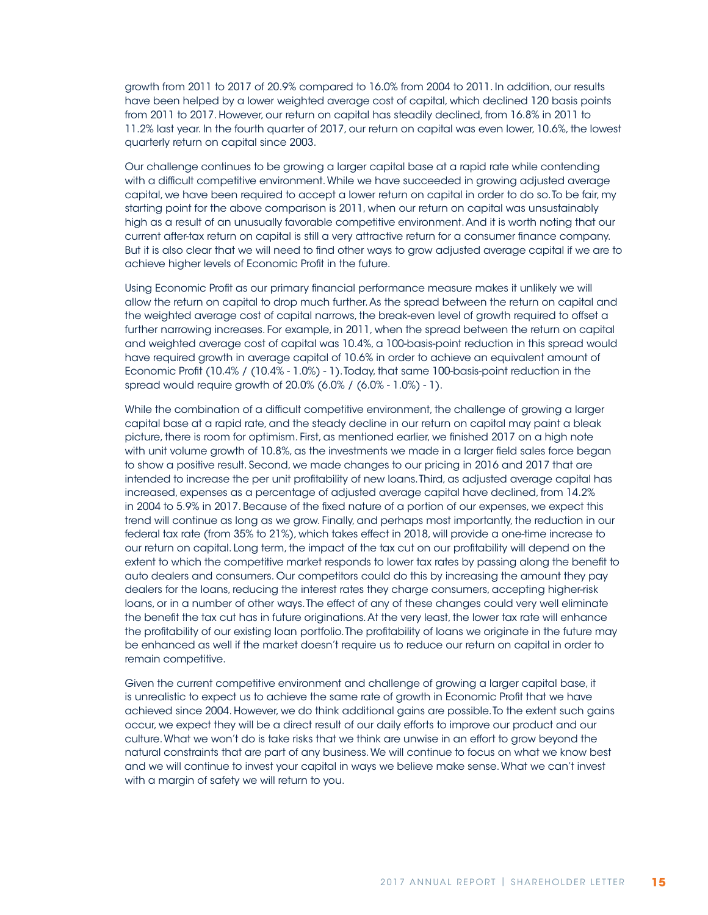growth from 2011 to 2017 of 20.9% compared to 16.0% from 2004 to 2011. In addition, our results have been helped by a lower weighted average cost of capital, which declined 120 basis points from 2011 to 2017. However, our return on capital has steadily declined, from 16.8% in 2011 to 11.2% last year. In the fourth quarter of 2017, our return on capital was even lower, 10.6%, the lowest quarterly return on capital since 2003.

Our challenge continues to be growing a larger capital base at a rapid rate while contending with a difficult competitive environment. While we have succeeded in growing adjusted average capital, we have been required to accept a lower return on capital in order to do so. To be fair, my starting point for the above comparison is 2011, when our return on capital was unsustainably high as a result of an unusually favorable competitive environment. And it is worth noting that our current after-tax return on capital is still a very attractive return for a consumer finance company. But it is also clear that we will need to find other ways to grow adjusted average capital if we are to achieve higher levels of Economic Profit in the future.

Using Economic Profit as our primary financial performance measure makes it unlikely we will allow the return on capital to drop much further. As the spread between the return on capital and the weighted average cost of capital narrows, the break-even level of growth required to offset a further narrowing increases. For example, in 2011, when the spread between the return on capital and weighted average cost of capital was 10.4%, a 100-basis-point reduction in this spread would have required growth in average capital of 10.6% in order to achieve an equivalent amount of Economic Profit (10.4% / (10.4% - 1.0%) - 1). Today, that same 100-basis-point reduction in the spread would require growth of 20.0% (6.0% / (6.0% - 1.0%) - 1).

While the combination of a difficult competitive environment, the challenge of growing a larger capital base at a rapid rate, and the steady decline in our return on capital may paint a bleak picture, there is room for optimism. First, as mentioned earlier, we finished 2017 on a high note with unit volume growth of 10.8%, as the investments we made in a larger field sales force began to show a positive result. Second, we made changes to our pricing in 2016 and 2017 that are intended to increase the per unit profitability of new loans. Third, as adjusted average capital has increased, expenses as a percentage of adjusted average capital have declined, from 14.2% in 2004 to 5.9% in 2017. Because of the fixed nature of a portion of our expenses, we expect this trend will continue as long as we grow. Finally, and perhaps most importantly, the reduction in our federal tax rate (from 35% to 21%), which takes effect in 2018, will provide a one-time increase to our return on capital. Long term, the impact of the tax cut on our profitability will depend on the extent to which the competitive market responds to lower tax rates by passing along the benefit to auto dealers and consumers. Our competitors could do this by increasing the amount they pay dealers for the loans, reducing the interest rates they charge consumers, accepting higher-risk loans, or in a number of other ways. The effect of any of these changes could very well eliminate the benefit the tax cut has in future originations. At the very least, the lower tax rate will enhance the profitability of our existing loan portfolio. The profitability of loans we originate in the future may be enhanced as well if the market doesn't require us to reduce our return on capital in order to remain competitive.

Given the current competitive environment and challenge of growing a larger capital base, it is unrealistic to expect us to achieve the same rate of growth in Economic Profit that we have achieved since 2004. However, we do think additional gains are possible. To the extent such gains occur, we expect they will be a direct result of our daily efforts to improve our product and our culture. What we won't do is take risks that we think are unwise in an effort to grow beyond the natural constraints that are part of any business. We will continue to focus on what we know best and we will continue to invest your capital in ways we believe make sense. What we can't invest with a margin of safety we will return to you.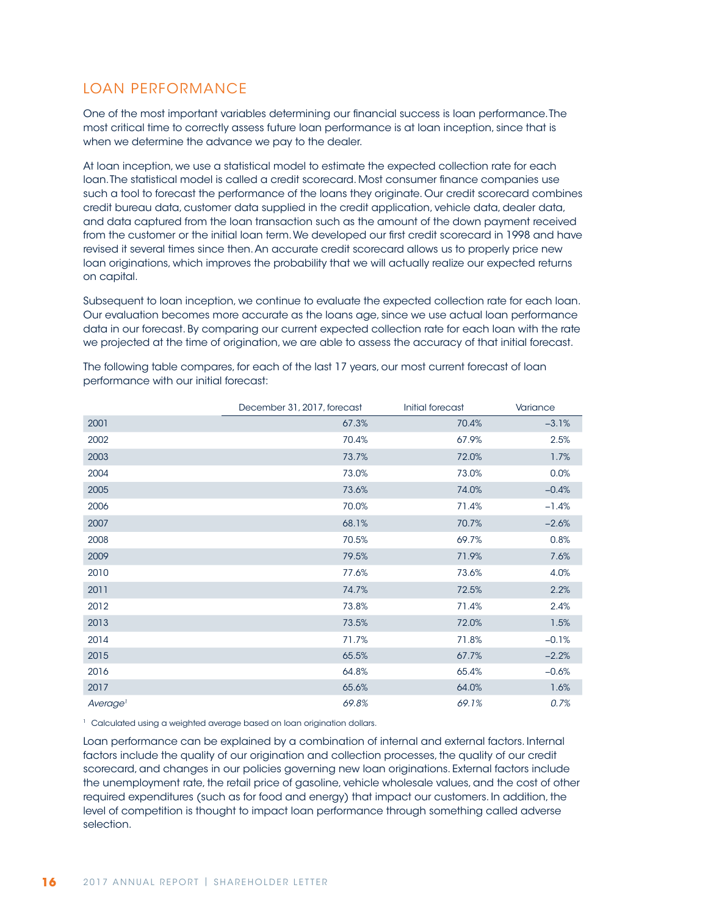## LOAN PERFORMANCE

One of the most important variables determining our financial success is loan performance. The most critical time to correctly assess future loan performance is at loan inception, since that is when we determine the advance we pay to the dealer.

At loan inception, we use a statistical model to estimate the expected collection rate for each loan. The statistical model is called a credit scorecard. Most consumer finance companies use such a tool to forecast the performance of the loans they originate. Our credit scorecard combines credit bureau data, customer data supplied in the credit application, vehicle data, dealer data, and data captured from the loan transaction such as the amount of the down payment received from the customer or the initial loan term. We developed our first credit scorecard in 1998 and have revised it several times since then. An accurate credit scorecard allows us to properly price new loan originations, which improves the probability that we will actually realize our expected returns on capital.

Subsequent to loan inception, we continue to evaluate the expected collection rate for each loan. Our evaluation becomes more accurate as the loans age, since we use actual loan performance data in our forecast. By comparing our current expected collection rate for each loan with the rate we projected at the time of origination, we are able to assess the accuracy of that initial forecast.

|                      | December 31, 2017, forecast | Initial forecast | Variance |
|----------------------|-----------------------------|------------------|----------|
| 2001                 | 67.3%                       | 70.4%            | $-3.1%$  |
| 2002                 | 70.4%                       | 67.9%            | 2.5%     |
| 2003                 | 73.7%                       | 72.0%            | 1.7%     |
| 2004                 | 73.0%                       | 73.0%            | 0.0%     |
| 2005                 | 73.6%                       | 74.0%            | $-0.4%$  |
| 2006                 | 70.0%                       | 71.4%            | $-1.4%$  |
| 2007                 | 68.1%                       | 70.7%            | $-2.6%$  |
| 2008                 | 70.5%                       | 69.7%            | 0.8%     |
| 2009                 | 79.5%                       | 71.9%            | 7.6%     |
| 2010                 | 77.6%                       | 73.6%            | 4.0%     |
| 2011                 | 74.7%                       | 72.5%            | 2.2%     |
| 2012                 | 73.8%                       | 71.4%            | 2.4%     |
| 2013                 | 73.5%                       | 72.0%            | 1.5%     |
| 2014                 | 71.7%                       | 71.8%            | $-0.1%$  |
| 2015                 | 65.5%                       | 67.7%            | $-2.2%$  |
| 2016                 | 64.8%                       | 65.4%            | $-0.6%$  |
| 2017                 | 65.6%                       | 64.0%            | 1.6%     |
| Average <sup>1</sup> | 69.8%                       | 69.1%            | 0.7%     |

The following table compares, for each of the last 17 years, our most current forecast of loan performance with our initial forecast:

<sup>1</sup> Calculated using a weighted average based on loan origination dollars.

Loan performance can be explained by a combination of internal and external factors. Internal factors include the quality of our origination and collection processes, the quality of our credit scorecard, and changes in our policies governing new loan originations. External factors include the unemployment rate, the retail price of gasoline, vehicle wholesale values, and the cost of other required expenditures (such as for food and energy) that impact our customers. In addition, the level of competition is thought to impact loan performance through something called adverse selection.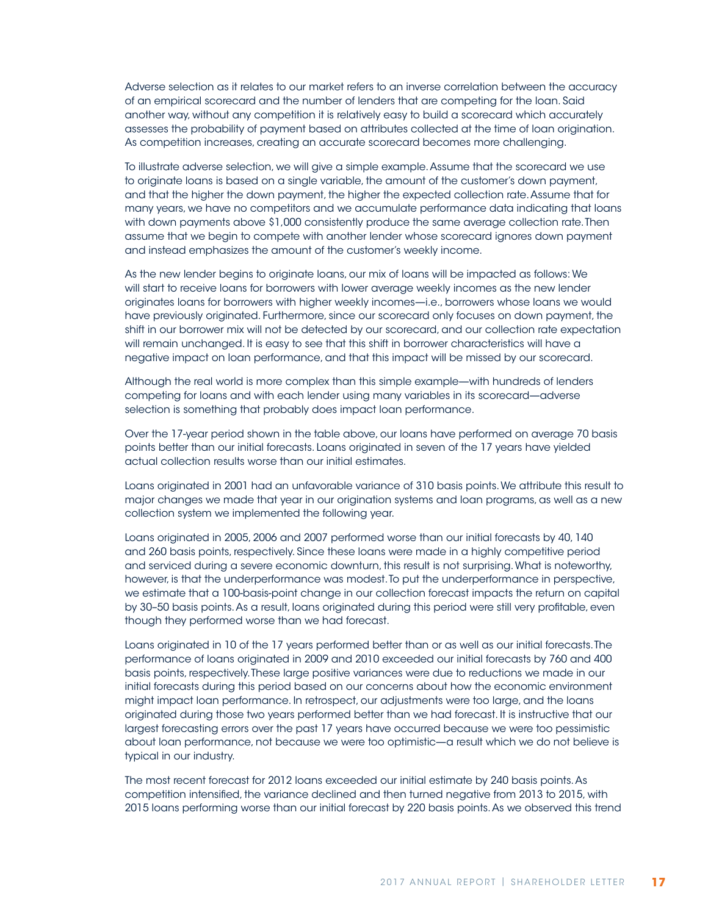Adverse selection as it relates to our market refers to an inverse correlation between the accuracy of an empirical scorecard and the number of lenders that are competing for the loan. Said another way, without any competition it is relatively easy to build a scorecard which accurately assesses the probability of payment based on attributes collected at the time of loan origination. As competition increases, creating an accurate scorecard becomes more challenging.

To illustrate adverse selection, we will give a simple example. Assume that the scorecard we use to originate loans is based on a single variable, the amount of the customer's down payment, and that the higher the down payment, the higher the expected collection rate. Assume that for many years, we have no competitors and we accumulate performance data indicating that loans with down payments above \$1,000 consistently produce the same average collection rate. Then assume that we begin to compete with another lender whose scorecard ignores down payment and instead emphasizes the amount of the customer's weekly income.

As the new lender begins to originate loans, our mix of loans will be impacted as follows: We will start to receive loans for borrowers with lower average weekly incomes as the new lender originates loans for borrowers with higher weekly incomes—i.e., borrowers whose loans we would have previously originated. Furthermore, since our scorecard only focuses on down payment, the shift in our borrower mix will not be detected by our scorecard, and our collection rate expectation will remain unchanged. It is easy to see that this shift in borrower characteristics will have a negative impact on loan performance, and that this impact will be missed by our scorecard.

Although the real world is more complex than this simple example—with hundreds of lenders competing for loans and with each lender using many variables in its scorecard—adverse selection is something that probably does impact loan performance.

Over the 17-year period shown in the table above, our loans have performed on average 70 basis points better than our initial forecasts. Loans originated in seven of the 17 years have yielded actual collection results worse than our initial estimates.

Loans originated in 2001 had an unfavorable variance of 310 basis points. We attribute this result to major changes we made that year in our origination systems and loan programs, as well as a new collection system we implemented the following year.

Loans originated in 2005, 2006 and 2007 performed worse than our initial forecasts by 40, 140 and 260 basis points, respectively. Since these loans were made in a highly competitive period and serviced during a severe economic downturn, this result is not surprising. What is noteworthy, however, is that the underperformance was modest. To put the underperformance in perspective, we estimate that a 100-basis-point change in our collection forecast impacts the return on capital by 30–50 basis points. As a result, loans originated during this period were still very profitable, even though they performed worse than we had forecast.

Loans originated in 10 of the 17 years performed better than or as well as our initial forecasts. The performance of loans originated in 2009 and 2010 exceeded our initial forecasts by 760 and 400 basis points, respectively. These large positive variances were due to reductions we made in our initial forecasts during this period based on our concerns about how the economic environment might impact loan performance. In retrospect, our adjustments were too large, and the loans originated during those two years performed better than we had forecast. It is instructive that our largest forecasting errors over the past 17 years have occurred because we were too pessimistic about loan performance, not because we were too optimistic—a result which we do not believe is typical in our industry.

The most recent forecast for 2012 loans exceeded our initial estimate by 240 basis points. As competition intensified, the variance declined and then turned negative from 2013 to 2015, with 2015 loans performing worse than our initial forecast by 220 basis points. As we observed this trend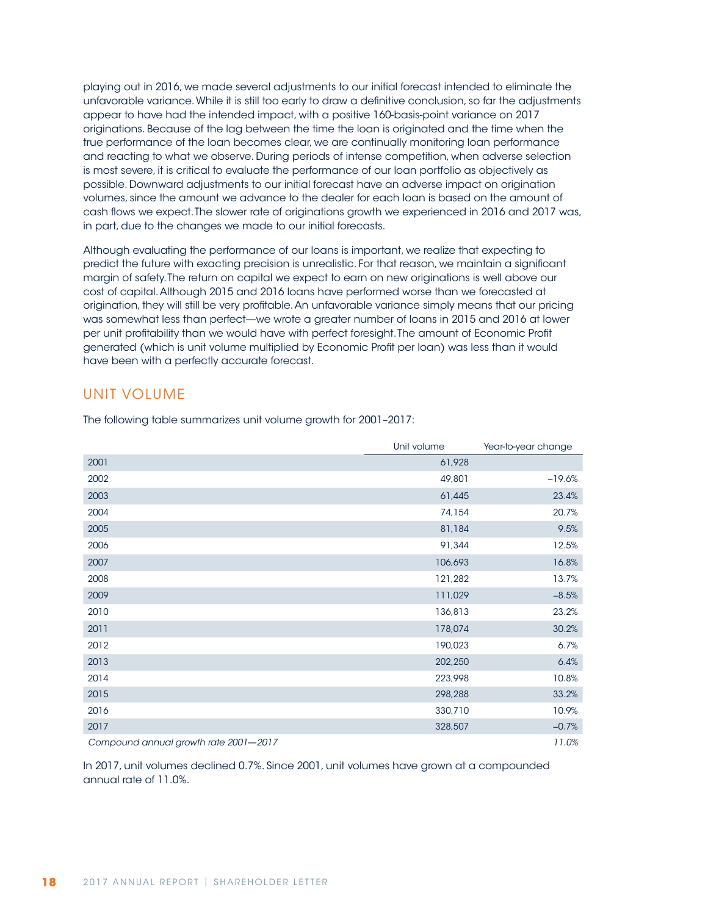playing out in 2016, we made several adjustments to our initial forecast intended to eliminate the unfavorable variance. While it is still too early to draw a definitive conclusion, so far the adjustments appear to have had the intended impact, with a positive 160-basis-point variance on 2017 originations. Because of the lag between the time the loan is originated and the time when the true performance of the loan becomes clear, we are continually monitoring loan performance and reacting to what we observe. During periods of intense competition, when adverse selection is most severe, it is critical to evaluate the performance of our loan portfolio as objectively as possible. Downward adjustments to our initial forecast have an adverse impact on origination volumes, since the amount we advance to the dealer for each loan is based on the amount of cash flows we expect. The slower rate of originations growth we experienced in 2016 and 2017 was, in part, due to the changes we made to our initial forecasts.

Although evaluating the performance of our loans is important, we realize that expecting to predict the future with exacting precision is unrealistic. For that reason, we maintain a significant margin of safety. The return on capital we expect to earn on new originations is well above our cost of capital. Although 2015 and 2016 loans have performed worse than we forecasted at origination, they will still be very profitable. An unfavorable variance simply means that our pricing was somewhat less than perfect—we wrote a greater number of loans in 2015 and 2016 at lower per unit profitability than we would have with perfect foresight. The amount of Economic Profit generated (which is unit volume multiplied by Economic Profit per loan) was less than it would have been with a perfectly accurate forecast.

### UNIT VOLUME

|                                       | Unit volume | Year-to-year change |
|---------------------------------------|-------------|---------------------|
| 2001                                  | 61,928      |                     |
| 2002                                  | 49,801      | $-19.6%$            |
| 2003                                  | 61,445      | 23.4%               |
| 2004                                  | 74,154      | 20.7%               |
| 2005                                  | 81,184      | 9.5%                |
| 2006                                  | 91,344      | 12.5%               |
| 2007                                  | 106,693     | 16.8%               |
| 2008                                  | 121,282     | 13.7%               |
| 2009                                  | 111,029     | $-8.5%$             |
| 2010                                  | 136,813     | 23.2%               |
| 2011                                  | 178,074     | 30.2%               |
| 2012                                  | 190,023     | 6.7%                |
| 2013                                  | 202,250     | 6.4%                |
| 2014                                  | 223,998     | 10.8%               |
| 2015                                  | 298,288     | 33.2%               |
| 2016                                  | 330,710     | 10.9%               |
| 2017                                  | 328,507     | $-0.7%$             |
| Compound annual growth rate 2001-2017 |             | 11.0%               |

The following table summarizes unit volume growth for 2001–2017:

In 2017, unit volumes declined 0.7%. Since 2001, unit volumes have grown at a compounded annual rate of 11.0%.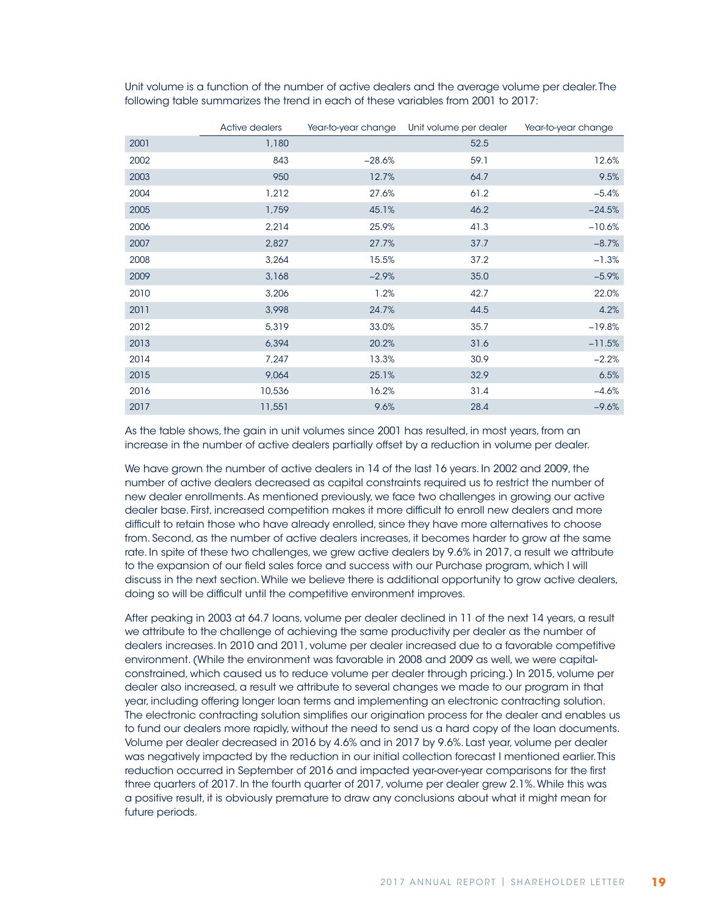Unit volume is a function of the number of active dealers and the average volume per dealer. The following table summarizes the trend in each of these variables from 2001 to 2017:

|      | Active dealers |          | Year-to-year change Unit volume per dealer | Year-to-year change |
|------|----------------|----------|--------------------------------------------|---------------------|
| 2001 | 1,180          |          | 52.5                                       |                     |
| 2002 | 843            | $-28.6%$ | 59.1                                       | 12.6%               |
| 2003 | 950            | 12.7%    | 64.7                                       | 9.5%                |
| 2004 | 1,212          | 27.6%    | 61.2                                       | $-5.4%$             |
| 2005 | 1,759          | 45.1%    | 46.2                                       | $-24.5%$            |
| 2006 | 2,214          | 25.9%    | 41.3                                       | $-10.6%$            |
| 2007 | 2,827          | 27.7%    | 37.7                                       | $-8.7%$             |
| 2008 | 3,264          | 15.5%    | 37.2                                       | $-1.3%$             |
| 2009 | 3,168          | $-2.9%$  | 35.0                                       | $-5.9%$             |
| 2010 | 3,206          | 1.2%     | 42.7                                       | 22.0%               |
| 2011 | 3,998          | 24.7%    | 44.5                                       | 4.2%                |
| 2012 | 5,319          | 33.0%    | 35.7                                       | $-19.8%$            |
| 2013 | 6,394          | 20.2%    | 31.6                                       | $-11.5%$            |
| 2014 | 7,247          | 13.3%    | 30.9                                       | $-2.2%$             |
| 2015 | 9,064          | 25.1%    | 32.9                                       | 6.5%                |
| 2016 | 10,536         | 16.2%    | 31.4                                       | $-4.6%$             |
| 2017 | 11,551         | 9.6%     | 28.4                                       | $-9.6%$             |

As the table shows, the gain in unit volumes since 2001 has resulted, in most years, from an increase in the number of active dealers partially offset by a reduction in volume per dealer.

We have grown the number of active dealers in 14 of the last 16 years. In 2002 and 2009, the number of active dealers decreased as capital constraints required us to restrict the number of new dealer enrollments. As mentioned previously, we face two challenges in growing our active dealer base. First, increased competition makes it more difficult to enroll new dealers and more difficult to retain those who have already enrolled, since they have more alternatives to choose from. Second, as the number of active dealers increases, it becomes harder to grow at the same rate. In spite of these two challenges, we grew active dealers by 9.6% in 2017, a result we attribute to the expansion of our field sales force and success with our Purchase program, which I will discuss in the next section. While we believe there is additional opportunity to grow active dealers, doing so will be difficult until the competitive environment improves.

After peaking in 2003 at 64.7 loans, volume per dealer declined in 11 of the next 14 years, a result we attribute to the challenge of achieving the same productivity per dealer as the number of dealers increases. In 2010 and 2011, volume per dealer increased due to a favorable competitive environment. (While the environment was favorable in 2008 and 2009 as well, we were capitalconstrained, which caused us to reduce volume per dealer through pricing.) In 2015, volume per dealer also increased, a result we attribute to several changes we made to our program in that year, including offering longer loan terms and implementing an electronic contracting solution. The electronic contracting solution simplifies our origination process for the dealer and enables us to fund our dealers more rapidly, without the need to send us a hard copy of the loan documents. Volume per dealer decreased in 2016 by 4.6% and in 2017 by 9.6%. Last year, volume per dealer was negatively impacted by the reduction in our initial collection forecast I mentioned earlier. This reduction occurred in September of 2016 and impacted year-over-year comparisons for the first three quarters of 2017. In the fourth quarter of 2017, volume per dealer grew 2.1%. While this was a positive result, it is obviously premature to draw any conclusions about what it might mean for future periods.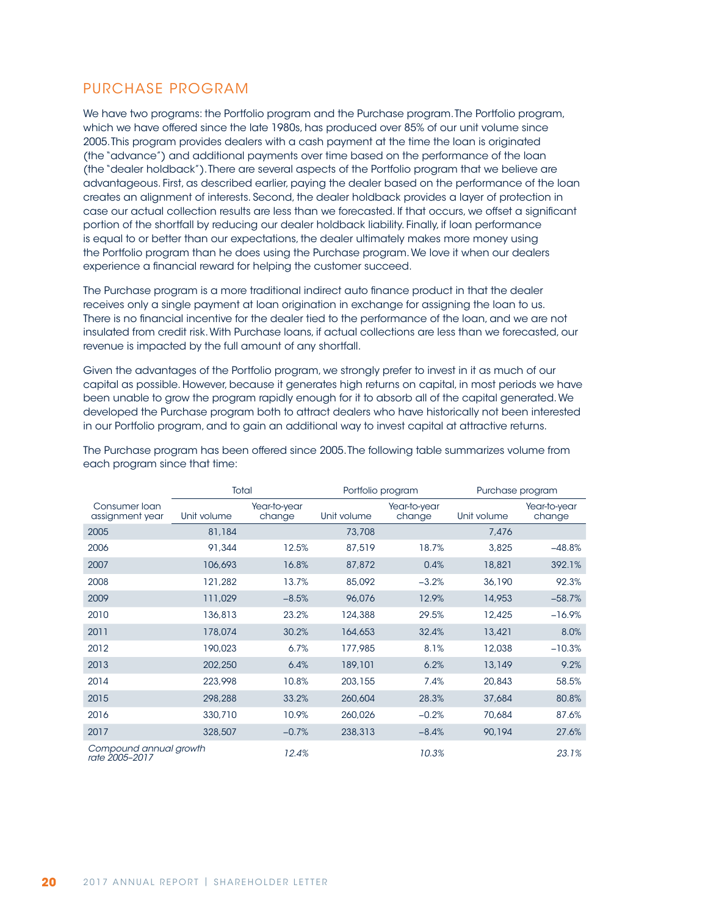## PURCHASE PROGRAM

We have two programs: the Portfolio program and the Purchase program. The Portfolio program, which we have offered since the late 1980s, has produced over 85% of our unit volume since 2005. This program provides dealers with a cash payment at the time the loan is originated (the "advance") and additional payments over time based on the performance of the loan (the "dealer holdback"). There are several aspects of the Portfolio program that we believe are advantageous. First, as described earlier, paying the dealer based on the performance of the loan creates an alignment of interests. Second, the dealer holdback provides a layer of protection in case our actual collection results are less than we forecasted. If that occurs, we offset a significant portion of the shortfall by reducing our dealer holdback liability. Finally, if loan performance is equal to or better than our expectations, the dealer ultimately makes more money using the Portfolio program than he does using the Purchase program. We love it when our dealers experience a financial reward for helping the customer succeed.

The Purchase program is a more traditional indirect auto finance product in that the dealer receives only a single payment at loan origination in exchange for assigning the loan to us. There is no financial incentive for the dealer tied to the performance of the loan, and we are not insulated from credit risk. With Purchase loans, if actual collections are less than we forecasted, our revenue is impacted by the full amount of any shortfall.

Given the advantages of the Portfolio program, we strongly prefer to invest in it as much of our capital as possible. However, because it generates high returns on capital, in most periods we have been unable to grow the program rapidly enough for it to absorb all of the capital generated. We developed the Purchase program both to attract dealers who have historically not been interested in our Portfolio program, and to gain an additional way to invest capital at attractive returns.

|                                          | Total       |                        |             | Portfolio program      | Purchase program |                        |  |
|------------------------------------------|-------------|------------------------|-------------|------------------------|------------------|------------------------|--|
| Consumer Ioan<br>assignment year         | Unit volume | Year-to-year<br>change | Unit volume | Year-to-year<br>change | Unit volume      | Year-to-year<br>change |  |
| 2005                                     | 81,184      |                        | 73,708      |                        | 7,476            |                        |  |
| 2006                                     | 91,344      | 12.5%                  | 87,519      | 18.7%                  | 3,825            | $-48.8%$               |  |
| 2007                                     | 106,693     | 16.8%                  | 87,872      | 0.4%                   | 18,821           | 392.1%                 |  |
| 2008                                     | 121,282     | 13.7%                  | 85,092      | $-3.2%$                | 36,190           | 92.3%                  |  |
| 2009                                     | 111,029     | $-8.5%$                | 96,076      | 12.9%                  | 14,953           | $-58.7%$               |  |
| 2010                                     | 136,813     | 23.2%                  | 124,388     | 29.5%                  | 12,425           | $-16.9%$               |  |
| 2011                                     | 178,074     | 30.2%                  | 164,653     | 32.4%                  | 13,421           | 8.0%                   |  |
| 2012                                     | 190,023     | 6.7%                   | 177.985     | 8.1%                   | 12,038           | $-10.3%$               |  |
| 2013                                     | 202,250     | 6.4%                   | 189,101     | 6.2%                   | 13,149           | 9.2%                   |  |
| 2014                                     | 223,998     | 10.8%                  | 203,155     | 7.4%                   | 20,843           | 58.5%                  |  |
| 2015                                     | 298,288     | 33.2%                  | 260,604     | 28.3%                  | 37,684           | 80.8%                  |  |
| 2016                                     | 330,710     | 10.9%                  | 260,026     | $-0.2%$                | 70,684           | 87.6%                  |  |
| 2017                                     | 328,507     | $-0.7%$                | 238,313     | $-8.4%$                | 90,194           | 27.6%                  |  |
| Compound annual growth<br>rate 2005-2017 |             | 12.4%                  |             | 10.3%                  |                  | 23.1%                  |  |

The Purchase program has been offered since 2005. The following table summarizes volume from each program since that time: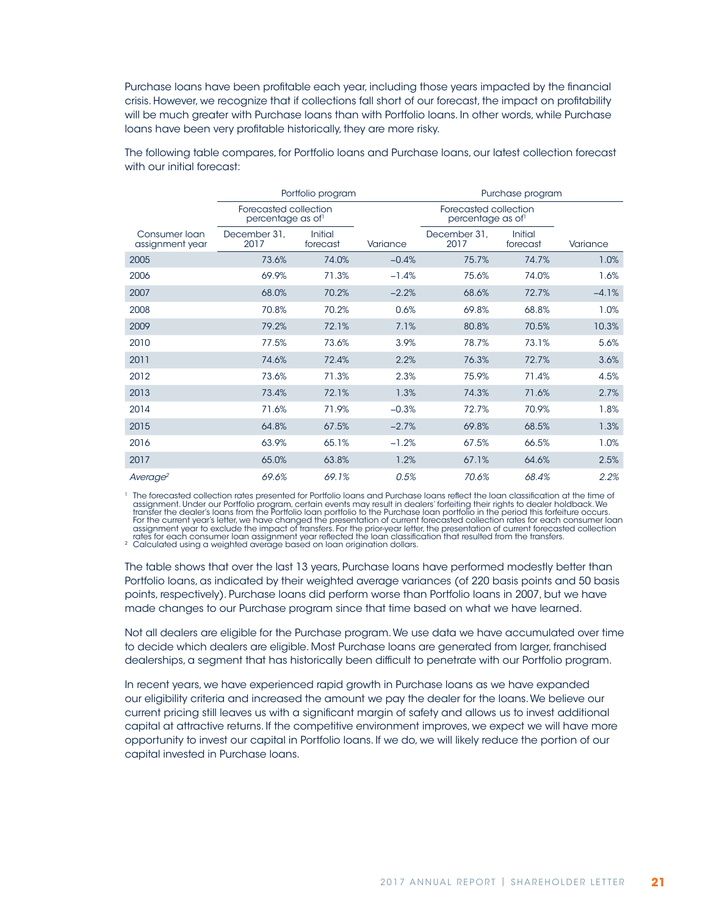Purchase loans have been profitable each year, including those years impacted by the financial crisis. However, we recognize that if collections fall short of our forecast, the impact on profitability will be much greater with Purchase loans than with Portfolio loans. In other words, while Purchase loans have been very profitable historically, they are more risky.

|                                  |                                           | Portfolio program   | Purchase program |                                           |                     |          |  |  |
|----------------------------------|-------------------------------------------|---------------------|------------------|-------------------------------------------|---------------------|----------|--|--|
|                                  | Forecasted collection<br>percentage as of |                     |                  | Forecasted collection<br>percentage as of |                     |          |  |  |
| Consumer loan<br>assignment year | December 31,<br>2017                      | Initial<br>forecast | Variance         | December 31,<br>2017                      | Initial<br>forecast | Variance |  |  |
| 2005                             | 73.6%                                     | 74.0%               | $-0.4%$          | 75.7%                                     | 74.7%               | 1.0%     |  |  |
| 2006                             | 69.9%                                     | 71.3%               | $-1.4%$          | 75.6%                                     | 74.0%               | 1.6%     |  |  |
| 2007                             | 68.0%                                     | 70.2%               | $-2.2%$          | 68.6%                                     | 72.7%               | $-4.1%$  |  |  |
| 2008                             | 70.8%                                     | 70.2%               | 0.6%             | 69.8%                                     | 68.8%               | 1.0%     |  |  |
| 2009                             | 79.2%                                     | 72.1%               | 7.1%             | 80.8%                                     | 70.5%               | 10.3%    |  |  |
| 2010                             | 77.5%                                     | 73.6%               | 3.9%             | 78.7%                                     | 73.1%               | 5.6%     |  |  |
| 2011                             | 74.6%                                     | 72.4%               | 2.2%             | 76.3%                                     | 72.7%               | 3.6%     |  |  |
| 2012                             | 73.6%                                     | 71.3%               | 2.3%             | 75.9%                                     | 71.4%               | 4.5%     |  |  |
| 2013                             | 73.4%                                     | 72.1%               | 1.3%             | 74.3%                                     | 71.6%               | 2.7%     |  |  |
| 2014                             | 71.6%                                     | 71.9%               | $-0.3%$          | 72.7%                                     | 70.9%               | 1.8%     |  |  |
| 2015                             | 64.8%                                     | 67.5%               | $-2.7%$          | 69.8%                                     | 68.5%               | 1.3%     |  |  |
| 2016                             | 63.9%                                     | 65.1%               | $-1.2%$          | 67.5%                                     | 66.5%               | 1.0%     |  |  |
| 2017                             | 65.0%                                     | 63.8%               | 1.2%             | 67.1%                                     | 64.6%               | 2.5%     |  |  |
| Average <sup>2</sup>             | 69.6%                                     | 69.1%               | 0.5%             | 70.6%                                     | 68.4%               | 2.2%     |  |  |

The following table compares, for Portfolio loans and Purchase loans, our latest collection forecast with our initial forecast:

The forecasted collection rates presented for Portfolio loans and Purchase loans reflect the loan classification at the time of "<br>assignment. Under our Portfolio program, certain events may result in dealers' forfeiting th transfer the dealer's loans from the Portfolio loan portfolio to the Purchase loan portfolio in the period this forfeiture occurs. For the current year's letter, we have changed the presentation of current forecasted collection rates for each consumer loan<br>assignment year to exclude the impact of transfers. For the prior-year letter, the presentation rates for each consumer loan assignment year reflected the loan classification that resulted from the transfers. <sup>2</sup> Calculated using a weighted average based on loan origination dollars.

The table shows that over the last 13 years, Purchase loans have performed modestly better than Portfolio loans, as indicated by their weighted average variances (of 220 basis points and 50 basis points, respectively). Purchase loans did perform worse than Portfolio loans in 2007, but we have made changes to our Purchase program since that time based on what we have learned.

Not all dealers are eligible for the Purchase program. We use data we have accumulated over time to decide which dealers are eligible. Most Purchase loans are generated from larger, franchised dealerships, a segment that has historically been difficult to penetrate with our Portfolio program.

In recent years, we have experienced rapid growth in Purchase loans as we have expanded our eligibility criteria and increased the amount we pay the dealer for the loans. We believe our current pricing still leaves us with a significant margin of safety and allows us to invest additional capital at attractive returns. If the competitive environment improves, we expect we will have more opportunity to invest our capital in Portfolio loans. If we do, we will likely reduce the portion of our capital invested in Purchase loans.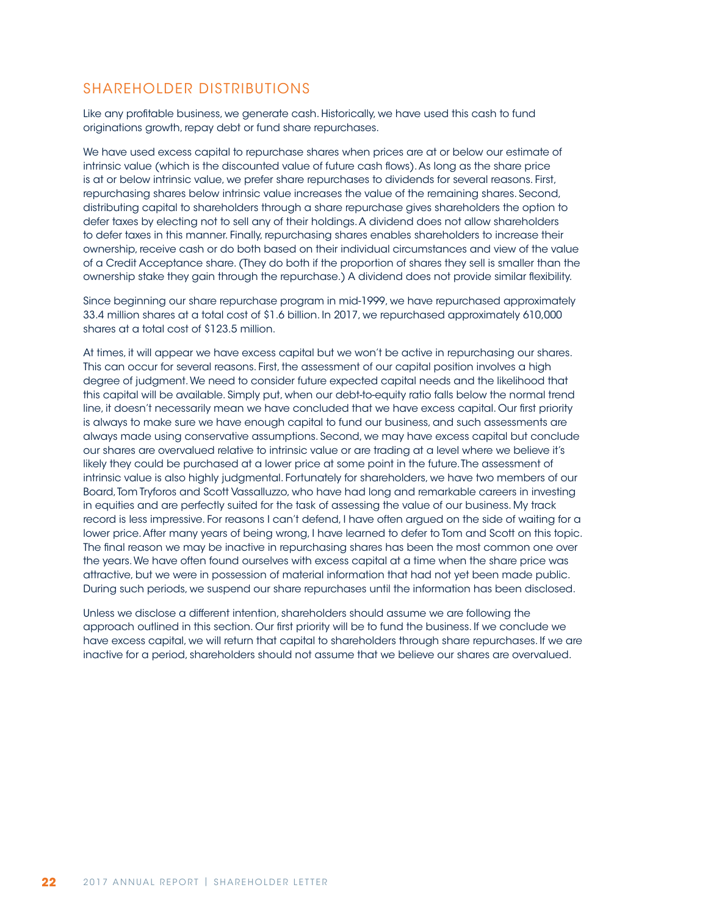### SHAREHOLDER DISTRIBUTIONS

Like any profitable business, we generate cash. Historically, we have used this cash to fund originations growth, repay debt or fund share repurchases.

We have used excess capital to repurchase shares when prices are at or below our estimate of intrinsic value (which is the discounted value of future cash flows). As long as the share price is at or below intrinsic value, we prefer share repurchases to dividends for several reasons. First, repurchasing shares below intrinsic value increases the value of the remaining shares. Second, distributing capital to shareholders through a share repurchase gives shareholders the option to defer taxes by electing not to sell any of their holdings. A dividend does not allow shareholders to defer taxes in this manner. Finally, repurchasing shares enables shareholders to increase their ownership, receive cash or do both based on their individual circumstances and view of the value of a Credit Acceptance share. (They do both if the proportion of shares they sell is smaller than the ownership stake they gain through the repurchase.) A dividend does not provide similar flexibility.

Since beginning our share repurchase program in mid-1999, we have repurchased approximately 33.4 million shares at a total cost of \$1.6 billion. In 2017, we repurchased approximately 610,000 shares at a total cost of \$123.5 million.

At times, it will appear we have excess capital but we won't be active in repurchasing our shares. This can occur for several reasons. First, the assessment of our capital position involves a high degree of judgment. We need to consider future expected capital needs and the likelihood that this capital will be available. Simply put, when our debt-to-equity ratio falls below the normal trend line, it doesn't necessarily mean we have concluded that we have excess capital. Our first priority is always to make sure we have enough capital to fund our business, and such assessments are always made using conservative assumptions. Second, we may have excess capital but conclude our shares are overvalued relative to intrinsic value or are trading at a level where we believe it's likely they could be purchased at a lower price at some point in the future. The assessment of intrinsic value is also highly judgmental. Fortunately for shareholders, we have two members of our Board, Tom Tryforos and Scott Vassalluzzo, who have had long and remarkable careers in investing in equities and are perfectly suited for the task of assessing the value of our business. My track record is less impressive. For reasons I can't defend, I have often argued on the side of waiting for a lower price. After many years of being wrong, I have learned to defer to Tom and Scott on this topic. The final reason we may be inactive in repurchasing shares has been the most common one over the years. We have often found ourselves with excess capital at a time when the share price was attractive, but we were in possession of material information that had not yet been made public. During such periods, we suspend our share repurchases until the information has been disclosed.

Unless we disclose a different intention, shareholders should assume we are following the approach outlined in this section. Our first priority will be to fund the business. If we conclude we have excess capital, we will return that capital to shareholders through share repurchases. If we are inactive for a period, shareholders should not assume that we believe our shares are overvalued.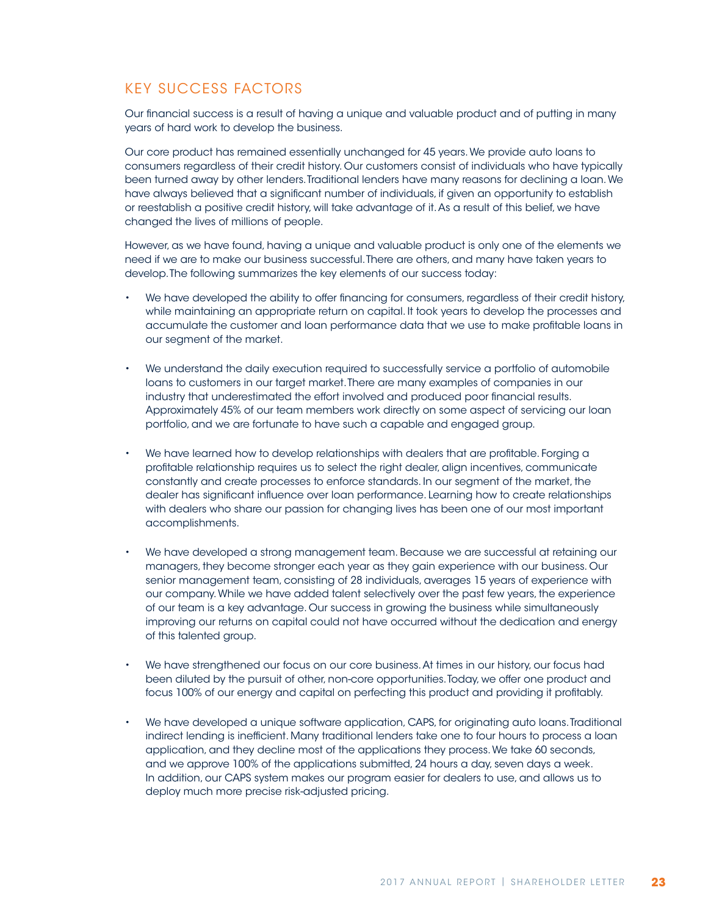## KEY SUCCESS FACTORS

Our financial success is a result of having a unique and valuable product and of putting in many years of hard work to develop the business.

Our core product has remained essentially unchanged for 45 years. We provide auto loans to consumers regardless of their credit history. Our customers consist of individuals who have typically been turned away by other lenders. Traditional lenders have many reasons for declining a loan. We have always believed that a significant number of individuals, if given an opportunity to establish or reestablish a positive credit history, will take advantage of it. As a result of this belief, we have changed the lives of millions of people.

However, as we have found, having a unique and valuable product is only one of the elements we need if we are to make our business successful. There are others, and many have taken years to develop. The following summarizes the key elements of our success today:

- We have developed the ability to offer financing for consumers, regardless of their credit history, while maintaining an appropriate return on capital. It took years to develop the processes and accumulate the customer and loan performance data that we use to make profitable loans in our segment of the market.
- We understand the daily execution required to successfully service a portfolio of automobile loans to customers in our target market. There are many examples of companies in our industry that underestimated the effort involved and produced poor financial results. Approximately 45% of our team members work directly on some aspect of servicing our loan portfolio, and we are fortunate to have such a capable and engaged group.
- We have learned how to develop relationships with dealers that are profitable. Forging a profitable relationship requires us to select the right dealer, align incentives, communicate constantly and create processes to enforce standards. In our segment of the market, the dealer has significant influence over loan performance. Learning how to create relationships with dealers who share our passion for changing lives has been one of our most important accomplishments.
- We have developed a strong management team. Because we are successful at retaining our managers, they become stronger each year as they gain experience with our business. Our senior management team, consisting of 28 individuals, averages 15 years of experience with our company. While we have added talent selectively over the past few years, the experience of our team is a key advantage. Our success in growing the business while simultaneously improving our returns on capital could not have occurred without the dedication and energy of this talented group.
- We have strengthened our focus on our core business. At times in our history, our focus had been diluted by the pursuit of other, non-core opportunities. Today, we offer one product and focus 100% of our energy and capital on perfecting this product and providing it profitably.
- We have developed a unique software application, CAPS, for originating auto loans. Traditional indirect lending is inefficient. Many traditional lenders take one to four hours to process a loan application, and they decline most of the applications they process. We take 60 seconds, and we approve 100% of the applications submitted, 24 hours a day, seven days a week. In addition, our CAPS system makes our program easier for dealers to use, and allows us to deploy much more precise risk-adjusted pricing.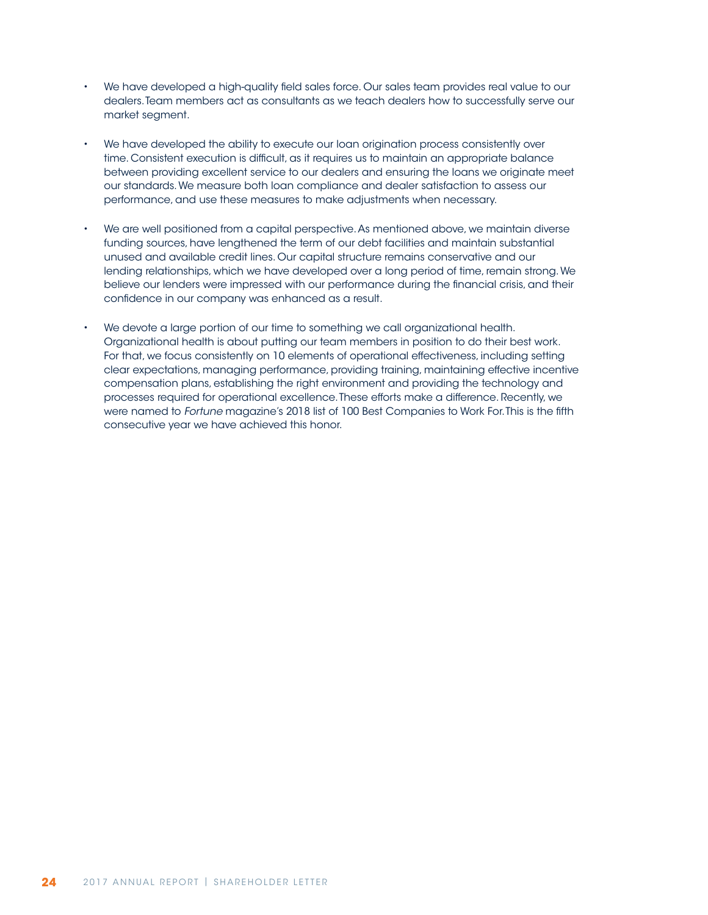- We have developed a high-quality field sales force. Our sales team provides real value to our dealers. Team members act as consultants as we teach dealers how to successfully serve our market segment.
- We have developed the ability to execute our loan origination process consistently over time. Consistent execution is difficult, as it requires us to maintain an appropriate balance between providing excellent service to our dealers and ensuring the loans we originate meet our standards. We measure both loan compliance and dealer satisfaction to assess our performance, and use these measures to make adjustments when necessary.
- We are well positioned from a capital perspective. As mentioned above, we maintain diverse funding sources, have lengthened the term of our debt facilities and maintain substantial unused and available credit lines. Our capital structure remains conservative and our lending relationships, which we have developed over a long period of time, remain strong. We believe our lenders were impressed with our performance during the financial crisis, and their confidence in our company was enhanced as a result.
- We devote a large portion of our time to something we call organizational health. Organizational health is about putting our team members in position to do their best work. For that, we focus consistently on 10 elements of operational effectiveness, including setting clear expectations, managing performance, providing training, maintaining effective incentive compensation plans, establishing the right environment and providing the technology and processes required for operational excellence. These efforts make a difference. Recently, we were named to *Fortune* magazine's 2018 list of 100 Best Companies to Work For. This is the fifth consecutive year we have achieved this honor.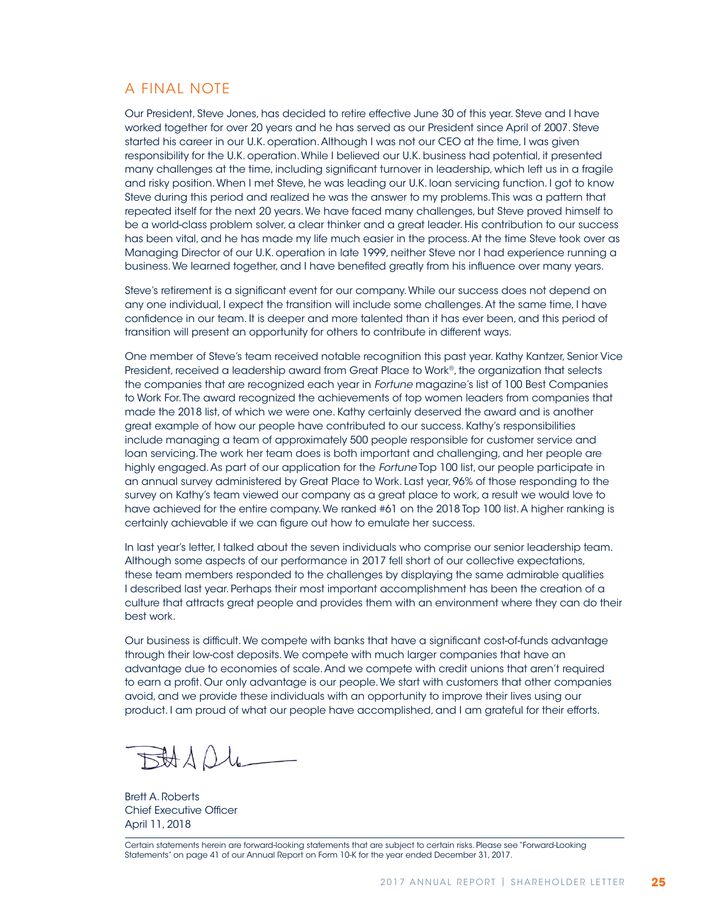### A FINAL NOTE

Our President, Steve Jones, has decided to retire effective June 30 of this year. Steve and I have worked together for over 20 years and he has served as our President since April of 2007. Steve started his career in our U.K. operation. Although I was not our CEO at the time, I was given responsibility for the U.K. operation. While I believed our U.K. business had potential, it presented many challenges at the time, including significant turnover in leadership, which left us in a fragile and risky position. When I met Steve, he was leading our U.K. loan servicing function. I got to know Steve during this period and realized he was the answer to my problems. This was a pattern that repeated itself for the next 20 years. We have faced many challenges, but Steve proved himself to be a world-class problem solver, a clear thinker and a great leader. His contribution to our success has been vital, and he has made my life much easier in the process. At the time Steve took over as Managing Director of our U.K. operation in late 1999, neither Steve nor I had experience running a business. We learned together, and I have benefited greatly from his influence over many years.

Steve's retirement is a significant event for our company. While our success does not depend on any one individual, I expect the transition will include some challenges. At the same time, I have confidence in our team. It is deeper and more talented than it has ever been, and this period of transition will present an opportunity for others to contribute in different ways.

One member of Steve's team received notable recognition this past year. Kathy Kantzer, Senior Vice President, received a leadership award from Great Place to Work®, the organization that selects the companies that are recognized each year in *Fortune* magazine's list of 100 Best Companies to Work For. The award recognized the achievements of top women leaders from companies that made the 2018 list, of which we were one. Kathy certainly deserved the award and is another great example of how our people have contributed to our success. Kathy's responsibilities include managing a team of approximately 500 people responsible for customer service and loan servicing. The work her team does is both important and challenging, and her people are highly engaged. As part of our application for the *Fortune* Top 100 list, our people participate in an annual survey administered by Great Place to Work. Last year, 96% of those responding to the survey on Kathy's team viewed our company as a great place to work, a result we would love to have achieved for the entire company. We ranked #61 on the 2018 Top 100 list. A higher ranking is certainly achievable if we can figure out how to emulate her success.

In last year's letter, I talked about the seven individuals who comprise our senior leadership team. Although some aspects of our performance in 2017 fell short of our collective expectations, these team members responded to the challenges by displaying the same admirable qualities I described last year. Perhaps their most important accomplishment has been the creation of a culture that attracts great people and provides them with an environment where they can do their best work.

Our business is difficult. We compete with banks that have a significant cost-of-funds advantage through their low-cost deposits. We compete with much larger companies that have an advantage due to economies of scale. And we compete with credit unions that aren't required to earn a profit. Our only advantage is our people. We start with customers that other companies avoid, and we provide these individuals with an opportunity to improve their lives using our product. I am proud of what our people have accomplished, and I am grateful for their efforts.

BADL

Brett A. Roberts Chief Executive Officer April 11, 2018

Certain statements herein are forward-looking statements that are subject to certain risks. Please see "Forward-Looking Statements" on page 41 of our Annual Report on Form 10-K for the year ended December 31, 2017.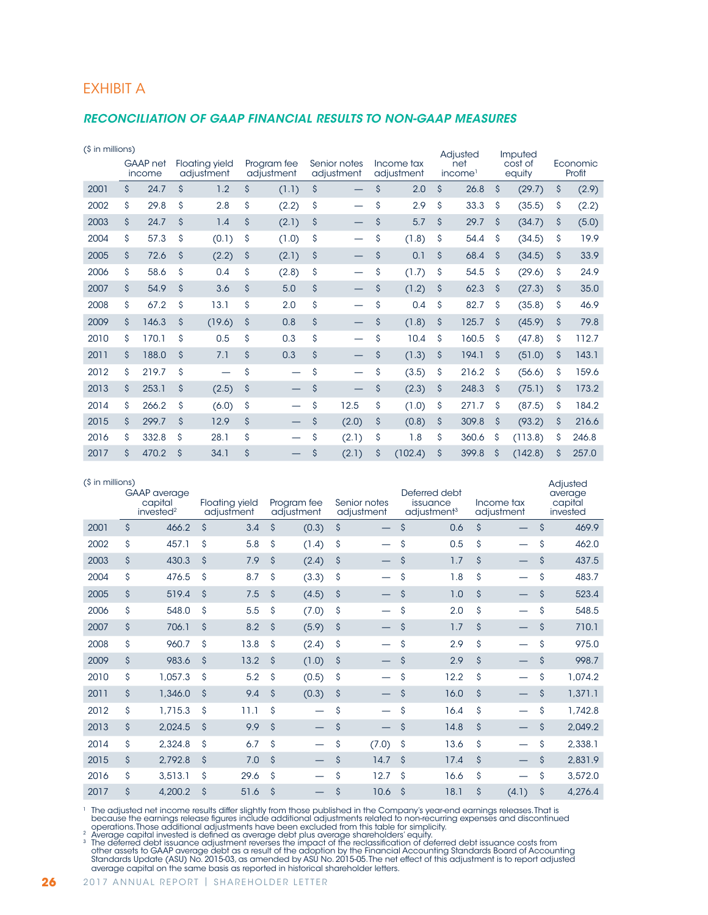### EXHIBIT A

#### *RECONCILIATION OF GAAP FINANCIAL RESULTS TO NON-GAAP MEASURES*

| (\$ in millions) |                           |       |                                     |        |                           |                          |                            |       |                          |         |                            | Adjusted |                    | Imputed |                    |       |
|------------------|---------------------------|-------|-------------------------------------|--------|---------------------------|--------------------------|----------------------------|-------|--------------------------|---------|----------------------------|----------|--------------------|---------|--------------------|-------|
|                  | <b>GAAP</b> net<br>income |       | <b>Floating yield</b><br>adjustment |        | Program fee<br>adjustment |                          | Senior notes<br>adjustment |       | Income tax<br>adjustment |         | net<br>income <sup>1</sup> |          | cost of<br>equity  |         | Economic<br>Profit |       |
| 2001             | \$                        | 24.7  | \$                                  | 1.2    | $\mathsf{\hat{S}}$        | (1.1)                    | \$                         |       | \$                       | 2.0     | \$                         | 26.8     | $\mathsf{\hat{S}}$ | (29.7)  | \$                 | (2.9) |
| 2002             | \$                        | 29.8  | \$                                  | 2.8    | \$                        | (2.2)                    | \$                         |       | \$                       | 2.9     | \$                         | 33.3     | \$                 | (35.5)  | \$                 | (2.2) |
| 2003             | \$                        | 24.7  | $\mathsf{\hat{S}}$                  | 1.4    | \$                        | (2.1)                    | \$                         |       | \$                       | 5.7     | $\mathsf{\hat{S}}$         | 29.7     | Ś                  | (34.7)  | \$                 | (5.0) |
| 2004             | \$                        | 57.3  | \$                                  | (0.1)  | Ŝ                         | (1.0)                    | \$                         |       | \$                       | (1.8)   | \$                         | 54.4     | \$                 | (34.5)  | \$                 | 19.9  |
| 2005             | \$                        | 72.6  | \$                                  | (2.2)  | $\mathsf{\hat{S}}$        | (2.1)                    | \$                         |       | \$                       | 0.1     | \$                         | 68.4     | \$                 | (34.5)  | $\mathsf{\hat{S}}$ | 33.9  |
| 2006             | \$                        | 58.6  | \$                                  | 0.4    | \$                        | (2.8)                    | \$                         |       | \$                       | (1.7)   | \$                         | 54.5     | \$                 | (29.6)  | \$                 | 24.9  |
| 2007             | \$                        | 54.9  | $\mathsf{\hat{S}}$                  | 3.6    | $\mathsf{\hat{S}}$        | 5.0                      | \$                         |       | \$                       | (1.2)   | \$                         | 62.3     | $\mathsf{\hat{S}}$ | (27.3)  | $\mathsf{\hat{S}}$ | 35.0  |
| 2008             | \$                        | 67.2  | \$                                  | 13.1   | \$                        | 2.0                      | \$                         |       | \$                       | 0.4     | \$                         | 82.7     | \$                 | (35.8)  | \$                 | 46.9  |
| 2009             | \$                        | 146.3 | \$                                  | (19.6) | $\mathsf{\hat{S}}$        | 0.8                      | $\mathsf{\hat{S}}$         |       | \$                       | (1.8)   | \$                         | 125.7    | \$                 | (45.9)  | $\mathsf{\hat{S}}$ | 79.8  |
| 2010             | \$                        | 170.1 | \$                                  | 0.5    | \$                        | 0.3                      | \$                         |       | \$                       | 10.4    | \$                         | 160.5    | \$                 | (47.8)  | \$                 | 112.7 |
| 2011             | \$                        | 188.0 | \$                                  | 7.1    | \$                        | 0.3                      | \$                         |       | \$                       | (1.3)   | \$                         | 194.1    | \$                 | (51.0)  | $\mathsf{\hat{S}}$ | 143.1 |
| 2012             | \$                        | 219.7 | \$                                  | —      | \$                        | —                        | \$                         |       | \$                       | (3.5)   | \$                         | 216.2    | Ś                  | (56.6)  | \$                 | 159.6 |
| 2013             | \$                        | 253.1 | \$                                  | (2.5)  | \$                        |                          | \$                         |       | \$                       | (2.3)   | \$                         | 248.3    | $\mathsf{\hat{S}}$ | (75.1)  | $\mathsf{\hat{S}}$ | 173.2 |
| 2014             | \$                        | 266.2 | \$                                  | (6.0)  | \$                        | $\overline{\phantom{0}}$ | \$                         | 12.5  | \$                       | (1.0)   | \$                         | 271.7    | \$                 | (87.5)  | \$                 | 184.2 |
| 2015             | \$                        | 299.7 | \$                                  | 12.9   | $\mathsf{\hat{S}}$        | —                        | \$                         | (2.0) | \$                       | (0.8)   | \$                         | 309.8    | $\mathsf{\hat{S}}$ | (93.2)  | \$                 | 216.6 |
| 2016             | \$                        | 332.8 | \$                                  | 28.1   | \$                        |                          | \$                         | (2.1) | \$                       | 1.8     | \$                         | 360.6    | S                  | (113.8) | \$                 | 246.8 |
| 2017             | Ś                         | 470.2 | \$                                  | 34.1   | Ś                         |                          | \$                         | (2.1) | Ś                        | (102.4) | Ś                          | 399.8    | Ś                  | (142.8) | Ś                  | 257.0 |

| (\$ in millions) |                                                         |                    |                                     |                    |                           |                     |                            |                     |                                                      |                    |                          | Adjusted                       |
|------------------|---------------------------------------------------------|--------------------|-------------------------------------|--------------------|---------------------------|---------------------|----------------------------|---------------------|------------------------------------------------------|--------------------|--------------------------|--------------------------------|
|                  | <b>GAAP</b> average<br>capital<br>invested <sup>2</sup> |                    | <b>Floating yield</b><br>adjustment |                    | Program fee<br>adjustment |                     | Senior notes<br>adjustment |                     | Deferred debt<br>issuance<br>adjustment <sup>3</sup> |                    | Income tax<br>adjustment | average<br>capital<br>invested |
| 2001             | \$<br>466.2                                             | $\mathsf{\hat{S}}$ | 3.4                                 | $\mathsf{\hat{S}}$ | (0.3)                     | \$                  |                            | \$                  | 0.6                                                  | $\mathsf{\hat{S}}$ |                          | \$<br>469.9                    |
| 2002             | \$<br>457.1                                             | Ŝ                  | 5.8                                 | \$                 | (1.4)                     | \$                  |                            | \$                  | 0.5                                                  | \$                 |                          | \$<br>462.0                    |
| 2003             | \$<br>430.3                                             | $\mathsf{\hat{S}}$ | 7.9                                 | $\zeta$            | (2.4)                     | $\hat{\mathcal{S}}$ |                            | \$                  | 1.7                                                  | \$                 |                          | \$<br>437.5                    |
| 2004             | \$<br>476.5                                             | \$                 | 8.7                                 | \$                 | (3.3)                     | \$                  |                            | \$                  | 1.8                                                  | \$                 |                          | \$<br>483.7                    |
| 2005             | \$<br>519.4                                             | $\mathsf{\hat{S}}$ | 7.5                                 | $\mathsf{S}$       | (4.5)                     | $\hat{\mathcal{S}}$ |                            | \$                  | 1.0                                                  | $\mathsf{\hat{S}}$ |                          | \$<br>523.4                    |
| 2006             | \$<br>548.0                                             | Ŝ                  | 5.5                                 | \$                 | (7.0)                     | \$                  |                            | \$                  | 2.0                                                  | \$                 |                          | \$<br>548.5                    |
| 2007             | \$<br>706.1                                             | \$                 | 8.2                                 | \$                 | (5.9)                     | $\mathsf{S}$        |                            | \$                  | 1.7                                                  | \$                 |                          | \$<br>710.1                    |
| 2008             | \$<br>960.7                                             | Ŝ                  | 13.8                                | \$                 | (2.4)                     | \$                  |                            | \$                  | 2.9                                                  | \$                 |                          | \$<br>975.0                    |
| 2009             | \$<br>983.6                                             | $\mathsf{\hat{S}}$ | 13.2                                | $\mathsf{\hat{S}}$ | (1.0)                     | $\mathsf{S}$        |                            | \$                  | 2.9                                                  | \$                 |                          | \$<br>998.7                    |
| 2010             | \$<br>1,057.3                                           | Ŝ                  | 5.2                                 | Ŝ                  | (0.5)                     | \$                  |                            | \$                  | 12.2                                                 | \$                 |                          | \$<br>1,074.2                  |
| 2011             | \$<br>1,346.0                                           | $\mathsf{\hat{S}}$ | 9.4                                 | $\mathsf{S}$       | (0.3)                     | $\mathsf{S}$        |                            | \$                  | 16.0                                                 | \$                 |                          | \$<br>1,371.1                  |
| 2012             | \$<br>1,715.3                                           | Ŝ                  | 11.1                                | Ŝ                  |                           | \$                  |                            | \$                  | 16.4                                                 | \$                 |                          | \$<br>1,742.8                  |
| 2013             | \$<br>2,024.5                                           | $\mathsf{\hat{S}}$ | 9.9                                 | $\mathsf{S}$       |                           | $\mathsf{\hat{S}}$  |                            | \$                  | 14.8                                                 | \$                 |                          | \$<br>2,049.2                  |
| 2014             | \$<br>2,324.8                                           | \$                 | 6.7                                 | Ŝ                  |                           | \$                  | (7.0)                      | \$                  | 13.6                                                 | \$                 |                          | \$<br>2,338.1                  |
| 2015             | \$<br>2,792.8                                           | \$                 | 7.0                                 | $\zeta$            |                           | \$                  | 14.7                       | $\hat{\mathcal{S}}$ | 17.4                                                 | \$                 |                          | \$<br>2,831.9                  |
| 2016             | \$<br>3,513.1                                           | \$                 | 29.6                                | \$                 |                           | \$                  | 12.7                       | \$                  | 16.6                                                 | \$                 |                          | \$<br>3,572.0                  |
| 2017             | \$<br>4,200.2                                           | \$                 | 51.6                                | $\mathsf{S}$       |                           | \$                  | 10.6                       | \$                  | 18.1                                                 | Ś                  | (4.1)                    | \$<br>4,276.4                  |

The adjusted net income results differ slightly from those published in the Company's year-end earnings releases. That is<br>because the earnings release figures include additional adjustments related to non-recurring expense

operations. Those additional adjustments have been excluded from this table for simplicity.<br><sup>2</sup> Average capital invested is defined as average debt plus average shareholders' equity.<br><sup>3</sup> The deferred debt issuance costs fr average capital on the same basis as reported in historical shareholder letters.